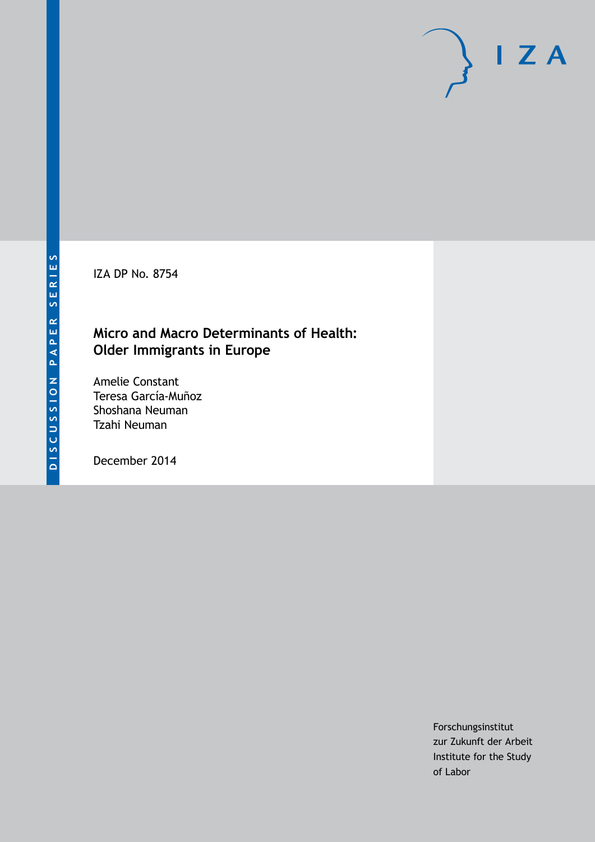IZA DP No. 8754

### **Micro and Macro Determinants of Health: Older Immigrants in Europe**

Amelie Constant Teresa García-Muñoz Shoshana Neuman Tzahi Neuman

December 2014

Forschungsinstitut zur Zukunft der Arbeit Institute for the Study of Labor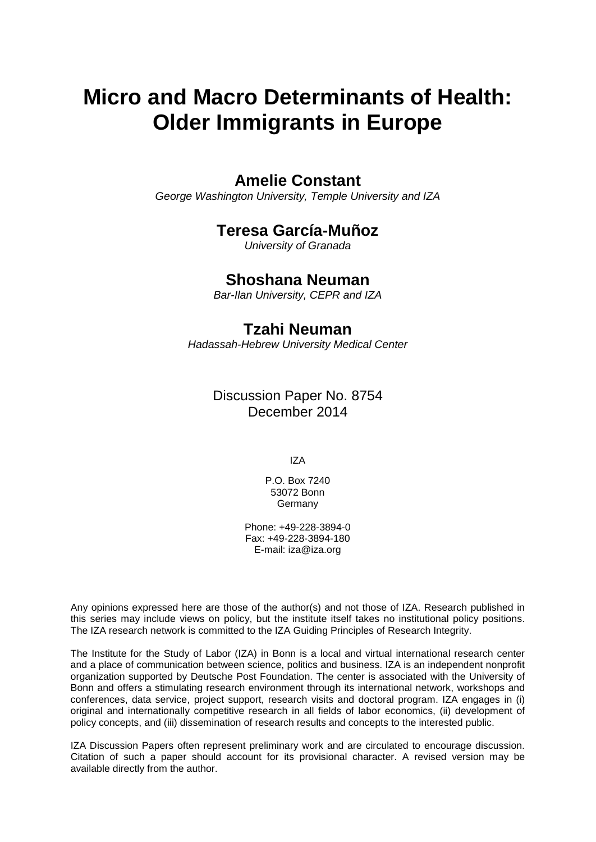# **Micro and Macro Determinants of Health: Older Immigrants in Europe**

### **Amelie Constant**

*George Washington University, Temple University and IZA*

### **Teresa García-Muñoz**

*University of Granada*

### **Shoshana Neuman**

*Bar-Ilan University, CEPR and IZA*

### **Tzahi Neuman**

*Hadassah-Hebrew University Medical Center*

Discussion Paper No. 8754 December 2014

IZA

P.O. Box 7240 53072 Bonn **Germany** 

Phone: +49-228-3894-0 Fax: +49-228-3894-180 E-mail: [iza@iza.org](mailto:iza@iza.org)

Any opinions expressed here are those of the author(s) and not those of IZA. Research published in this series may include views on policy, but the institute itself takes no institutional policy positions. The IZA research network is committed to the IZA Guiding Principles of Research Integrity.

The Institute for the Study of Labor (IZA) in Bonn is a local and virtual international research center and a place of communication between science, politics and business. IZA is an independent nonprofit organization supported by Deutsche Post Foundation. The center is associated with the University of Bonn and offers a stimulating research environment through its international network, workshops and conferences, data service, project support, research visits and doctoral program. IZA engages in (i) original and internationally competitive research in all fields of labor economics, (ii) development of policy concepts, and (iii) dissemination of research results and concepts to the interested public.

IZA Discussion Papers often represent preliminary work and are circulated to encourage discussion. Citation of such a paper should account for its provisional character. A revised version may be available directly from the author.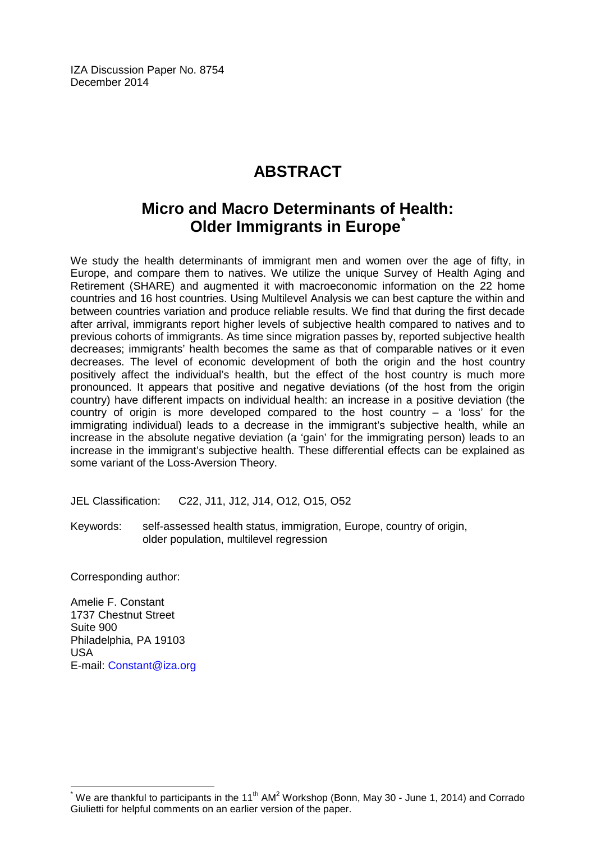IZA Discussion Paper No. 8754 December 2014

# **ABSTRACT**

## **Micro and Macro Determinants of Health: Older Immigrants in Europe<sup>** $\tilde{ }$ **</sup>**

We study the health determinants of immigrant men and women over the age of fifty, in Europe, and compare them to natives. We utilize the unique Survey of Health Aging and Retirement (SHARE) and augmented it with macroeconomic information on the 22 home countries and 16 host countries. Using Multilevel Analysis we can best capture the within and between countries variation and produce reliable results. We find that during the first decade after arrival, immigrants report higher levels of subjective health compared to natives and to previous cohorts of immigrants. As time since migration passes by, reported subjective health decreases; immigrants' health becomes the same as that of comparable natives or it even decreases. The level of economic development of both the origin and the host country positively affect the individual's health, but the effect of the host country is much more pronounced. It appears that positive and negative deviations (of the host from the origin country) have different impacts on individual health: an increase in a positive deviation (the country of origin is more developed compared to the host country  $-$  a 'loss' for the immigrating individual) leads to a decrease in the immigrant's subjective health, while an increase in the absolute negative deviation (a 'gain' for the immigrating person) leads to an increase in the immigrant's subjective health. These differential effects can be explained as some variant of the Loss-Aversion Theory.

JEL Classification: C22, J11, J12, J14, O12, O15, O52

Keywords: self-assessed health status, immigration, Europe, country of origin, older population, multilevel regression

Corresponding author:

Amelie F. Constant 1737 Chestnut Street Suite 900 Philadelphia, PA 19103 USA E-mail: [Constant@iza.org](mailto:Constant@iza.org)

<span id="page-2-0"></span>We are thankful to participants in the 11<sup>th</sup> AM<sup>2</sup> Workshop (Bonn, May 30 - June 1, 2014) and Corrado Giulietti for helpful comments on an earlier version of the paper.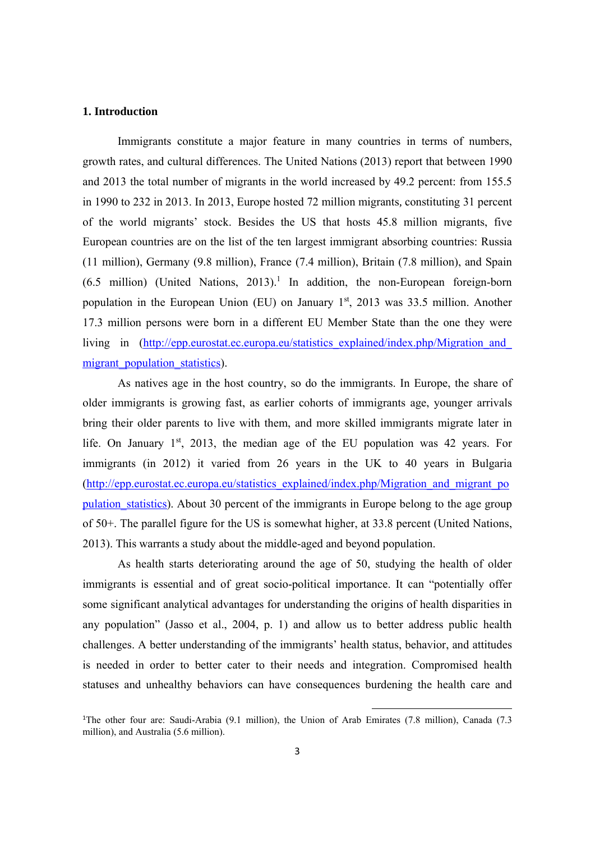#### **1. Introduction**

Immigrants constitute a major feature in many countries in terms of numbers, growth rates, and cultural differences. The United Nations (2013) report that between 1990 and 2013 the total number of migrants in the world increased by 49.2 percent: from 155.5 in 1990 to 232 in 2013. In 2013, Europe hosted 72 million migrants*,* constituting 31 percent of the world migrants' stock. Besides the US that hosts 45.8 million migrants, five European countries are on the list of the ten largest immigrant absorbing countries: Russia (11 million), Germany (9.8 million), France (7.4 million), Britain (7.8 million), and Spain  $(6.5 \text{ million})$  (United Nations, 2013).<sup>1</sup> In addition, the non-European foreign-born population in the European Union (EU) on January  $1<sup>st</sup>$ , 2013 was 33.5 million. Another 17.3 million persons were born in a different EU Member State than the one they were living in (http://epp.eurostat.ec.europa.eu/statistics explained/index.php/Migration and migrant population statistics).

As natives age in the host country, so do the immigrants. In Europe, the share of older immigrants is growing fast, as earlier cohorts of immigrants age, younger arrivals bring their older parents to live with them, and more skilled immigrants migrate later in life. On January  $1<sup>st</sup>$ , 2013, the median age of the EU population was 42 years. For immigrants (in 2012) it varied from 26 years in the UK to 40 years in Bulgaria (http://epp.eurostat.ec.europa.eu/statistics\_explained/index.php/Migration\_and\_migrant\_po pulation statistics). About 30 percent of the immigrants in Europe belong to the age group of 50+. The parallel figure for the US is somewhat higher, at 33.8 percent (United Nations, 2013). This warrants a study about the middle-aged and beyond population.

As health starts deteriorating around the age of 50, studying the health of older immigrants is essential and of great socio-political importance. It can "potentially offer some significant analytical advantages for understanding the origins of health disparities in any population" (Jasso et al., 2004, p. 1) and allow us to better address public health challenges. A better understanding of the immigrants' health status, behavior, and attitudes is needed in order to better cater to their needs and integration. Compromised health statuses and unhealthy behaviors can have consequences burdening the health care and

<sup>1</sup> The other four are: Saudi-Arabia (9.1 million), the Union of Arab Emirates (7.8 million), Canada (7.3 million), and Australia (5.6 million).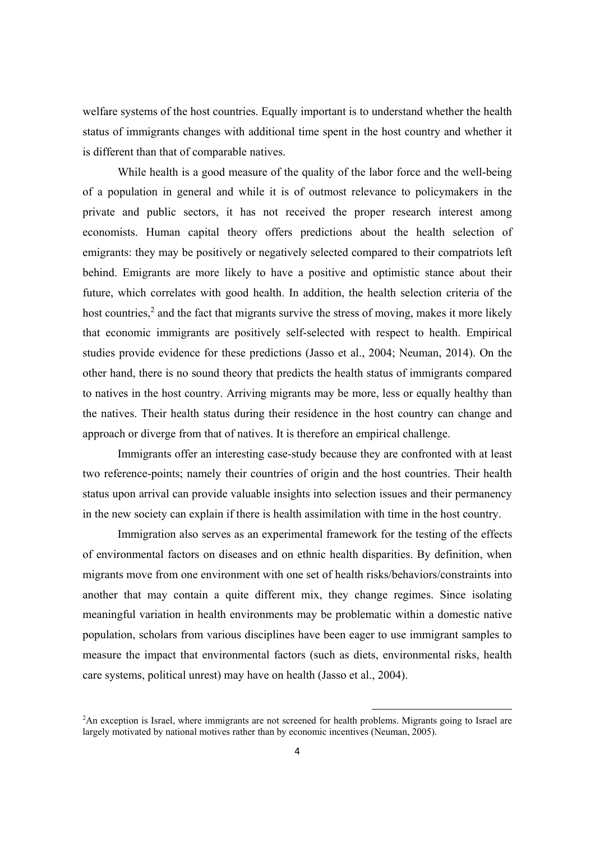welfare systems of the host countries. Equally important is to understand whether the health status of immigrants changes with additional time spent in the host country and whether it is different than that of comparable natives.

While health is a good measure of the quality of the labor force and the well-being of a population in general and while it is of outmost relevance to policymakers in the private and public sectors, it has not received the proper research interest among economists. Human capital theory offers predictions about the health selection of emigrants: they may be positively or negatively selected compared to their compatriots left behind. Emigrants are more likely to have a positive and optimistic stance about their future, which correlates with good health. In addition, the health selection criteria of the host countries, $<sup>2</sup>$  and the fact that migrants survive the stress of moving, makes it more likely</sup> that economic immigrants are positively self-selected with respect to health. Empirical studies provide evidence for these predictions (Jasso et al., 2004; Neuman, 2014). On the other hand, there is no sound theory that predicts the health status of immigrants compared to natives in the host country. Arriving migrants may be more, less or equally healthy than the natives. Their health status during their residence in the host country can change and approach or diverge from that of natives. It is therefore an empirical challenge.

Immigrants offer an interesting case-study because they are confronted with at least two reference-points; namely their countries of origin and the host countries. Their health status upon arrival can provide valuable insights into selection issues and their permanency in the new society can explain if there is health assimilation with time in the host country.

Immigration also serves as an experimental framework for the testing of the effects of environmental factors on diseases and on ethnic health disparities. By definition, when migrants move from one environment with one set of health risks/behaviors/constraints into another that may contain a quite different mix, they change regimes. Since isolating meaningful variation in health environments may be problematic within a domestic native population, scholars from various disciplines have been eager to use immigrant samples to measure the impact that environmental factors (such as diets, environmental risks, health care systems, political unrest) may have on health (Jasso et al., 2004).

<sup>2</sup> An exception is Israel, where immigrants are not screened for health problems. Migrants going to Israel are largely motivated by national motives rather than by economic incentives (Neuman, 2005).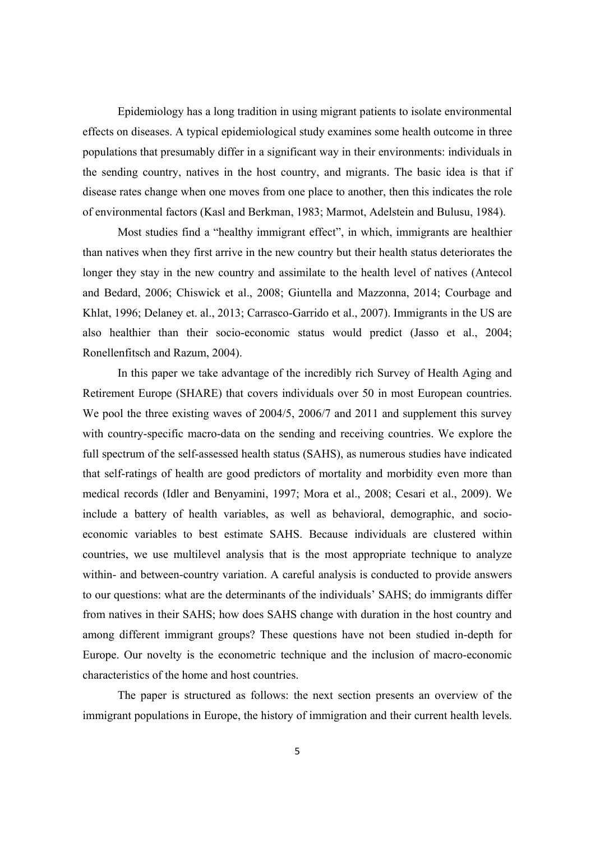Epidemiology has a long tradition in using migrant patients to isolate environmental effects on diseases. A typical epidemiological study examines some health outcome in three populations that presumably differ in a significant way in their environments: individuals in the sending country, natives in the host country, and migrants. The basic idea is that if disease rates change when one moves from one place to another, then this indicates the role of environmental factors (Kasl and Berkman, 1983; Marmot, Adelstein and Bulusu, 1984).

Most studies find a "healthy immigrant effect", in which, immigrants are healthier than natives when they first arrive in the new country but their health status deteriorates the longer they stay in the new country and assimilate to the health level of natives (Antecol and Bedard, 2006; Chiswick et al., 2008; Giuntella and Mazzonna, 2014; Courbage and Khlat, 1996; Delaney et. al., 2013; Carrasco-Garrido et al., 2007). Immigrants in the US are also healthier than their socio-economic status would predict (Jasso et al., 2004; Ronellenfitsch and Razum, 2004).

In this paper we take advantage of the incredibly rich Survey of Health Aging and Retirement Europe (SHARE) that covers individuals over 50 in most European countries. We pool the three existing waves of 2004/5, 2006/7 and 2011 and supplement this survey with country-specific macro-data on the sending and receiving countries. We explore the full spectrum of the self-assessed health status (SAHS), as numerous studies have indicated that self-ratings of health are good predictors of mortality and morbidity even more than medical records (Idler and Benyamini, 1997; Mora et al., 2008; Cesari et al., 2009). We include a battery of health variables, as well as behavioral, demographic, and socioeconomic variables to best estimate SAHS. Because individuals are clustered within countries, we use multilevel analysis that is the most appropriate technique to analyze within- and between-country variation. A careful analysis is conducted to provide answers to our questions: what are the determinants of the individuals' SAHS; do immigrants differ from natives in their SAHS; how does SAHS change with duration in the host country and among different immigrant groups? These questions have not been studied in-depth for Europe. Our novelty is the econometric technique and the inclusion of macro-economic characteristics of the home and host countries.

The paper is structured as follows: the next section presents an overview of the immigrant populations in Europe, the history of immigration and their current health levels.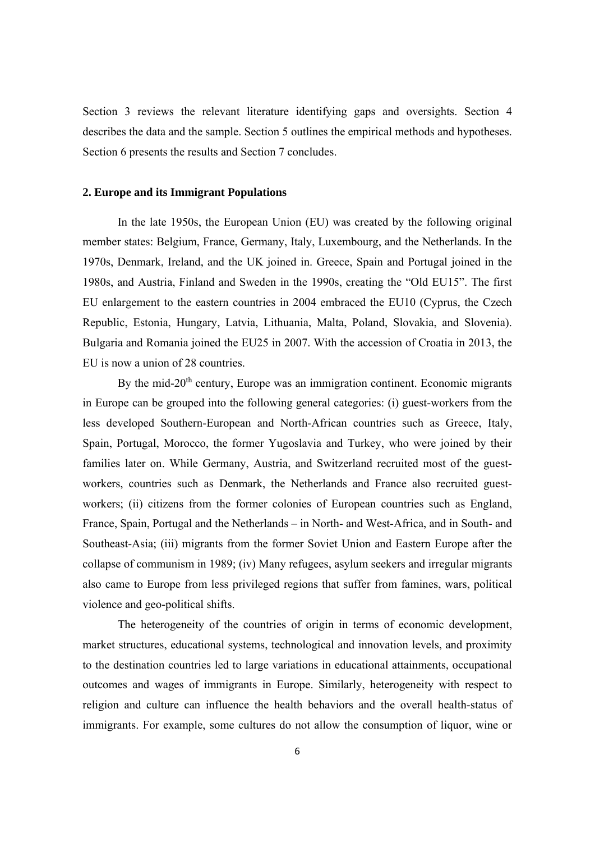Section 3 reviews the relevant literature identifying gaps and oversights. Section 4 describes the data and the sample. Section 5 outlines the empirical methods and hypotheses. Section 6 presents the results and Section 7 concludes.

#### **2. Europe and its Immigrant Populations**

In the late 1950s, the European Union (EU) was created by the following original member states: Belgium, France, Germany, Italy, Luxembourg, and the Netherlands. In the 1970s, Denmark, Ireland, and the UK joined in. Greece, Spain and Portugal joined in the 1980s, and Austria, Finland and Sweden in the 1990s, creating the "Old EU15". The first EU enlargement to the eastern countries in 2004 embraced the EU10 (Cyprus, the Czech Republic, Estonia, Hungary, Latvia, Lithuania, Malta, Poland, Slovakia, and Slovenia). Bulgaria and Romania joined the EU25 in 2007. With the accession of Croatia in 2013, the EU is now a union of 28 countries.

By the mid- $20<sup>th</sup>$  century, Europe was an immigration continent. Economic migrants in Europe can be grouped into the following general categories: (i) guest-workers from the less developed Southern-European and North-African countries such as Greece, Italy, Spain, Portugal, Morocco, the former Yugoslavia and Turkey, who were joined by their families later on. While Germany, Austria, and Switzerland recruited most of the guestworkers, countries such as Denmark, the Netherlands and France also recruited guestworkers; (ii) citizens from the former colonies of European countries such as England, France, Spain, Portugal and the Netherlands – in North- and West-Africa, and in South- and Southeast-Asia; (iii) migrants from the former Soviet Union and Eastern Europe after the collapse of communism in 1989; (iv) Many refugees, asylum seekers and irregular migrants also came to Europe from less privileged regions that suffer from famines, wars, political violence and geo-political shifts.

The heterogeneity of the countries of origin in terms of economic development, market structures, educational systems, technological and innovation levels, and proximity to the destination countries led to large variations in educational attainments, occupational outcomes and wages of immigrants in Europe. Similarly, heterogeneity with respect to religion and culture can influence the health behaviors and the overall health-status of immigrants. For example, some cultures do not allow the consumption of liquor, wine or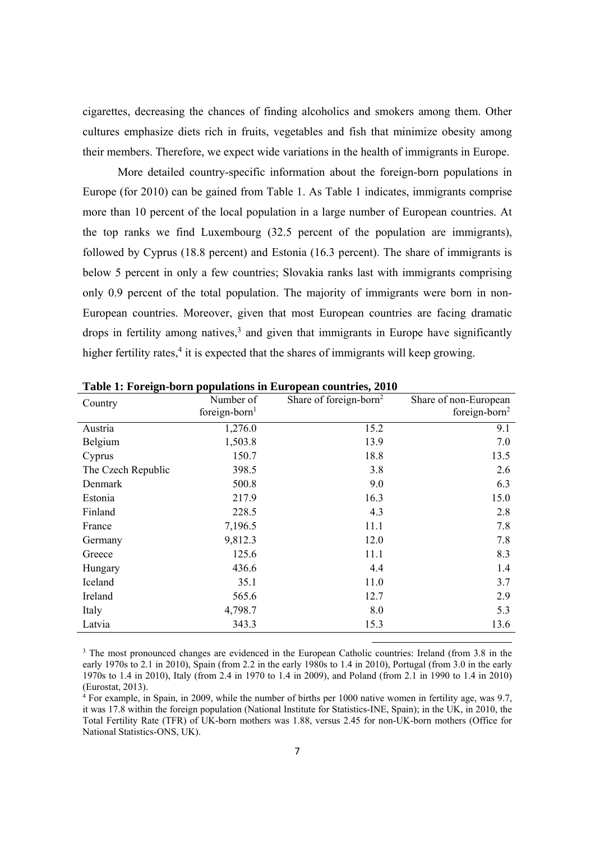cigarettes, decreasing the chances of finding alcoholics and smokers among them. Other cultures emphasize diets rich in fruits, vegetables and fish that minimize obesity among their members. Therefore, we expect wide variations in the health of immigrants in Europe.

More detailed country-specific information about the foreign-born populations in Europe (for 2010) can be gained from Table 1. As Table 1 indicates, immigrants comprise more than 10 percent of the local population in a large number of European countries. At the top ranks we find Luxembourg (32.5 percent of the population are immigrants), followed by Cyprus (18.8 percent) and Estonia (16.3 percent). The share of immigrants is below 5 percent in only a few countries; Slovakia ranks last with immigrants comprising only 0.9 percent of the total population. The majority of immigrants were born in non-European countries. Moreover, given that most European countries are facing dramatic drops in fertility among natives, $3$  and given that immigrants in Europe have significantly higher fertility rates, $4$  it is expected that the shares of immigrants will keep growing.

| Country            | Number of<br>foreign-born <sup>1</sup> | Share of foreign-born <sup>2</sup> | Share of non-European<br>foreign-born <sup>2</sup> |
|--------------------|----------------------------------------|------------------------------------|----------------------------------------------------|
| Austria            | 1,276.0                                | 15.2                               | 9.1                                                |
| Belgium            | 1,503.8                                | 13.9                               | 7.0                                                |
| Cyprus             | 150.7                                  | 18.8                               | 13.5                                               |
| The Czech Republic | 398.5                                  | 3.8                                | 2.6                                                |
| Denmark            | 500.8                                  | 9.0                                | 6.3                                                |
| Estonia            | 217.9                                  | 16.3                               | 15.0                                               |
| Finland            | 228.5                                  | 4.3                                | 2.8                                                |
| France             | 7,196.5                                | 11.1                               | 7.8                                                |
| Germany            | 9,812.3                                | 12.0                               | 7.8                                                |
| Greece             | 125.6                                  | 11.1                               | 8.3                                                |
| Hungary            | 436.6                                  | 4.4                                | 1.4                                                |
| Iceland            | 35.1                                   | 11.0                               | 3.7                                                |
| Ireland            | 565.6                                  | 12.7                               | 2.9                                                |
| Italy              | 4,798.7                                | 8.0                                | 5.3                                                |
| Latvia             | 343.3                                  | 15.3                               | 13.6                                               |

**Table 1: Foreign-born populations in European countries, 2010** 

<sup>3</sup> The most pronounced changes are evidenced in the European Catholic countries: Ireland (from 3.8 in the early 1970s to 2.1 in 2010), Spain (from 2.2 in the early 1980s to 1.4 in 2010), Portugal (from 3.0 in the early 1970s to 1.4 in 2010), Italy (from 2.4 in 1970 to 1.4 in 2009), and Poland (from 2.1 in 1990 to 1.4 in 2010) (Eurostat, 2013).

4 For example, in Spain, in 2009, while the number of births per 1000 native women in fertility age, was 9.7, it was 17.8 within the foreign population (National Institute for Statistics-INE, Spain); in the UK, in 2010, the Total Fertility Rate (TFR) of UK-born mothers was 1.88, versus 2.45 for non-UK-born mothers (Office for National Statistics-ONS, UK).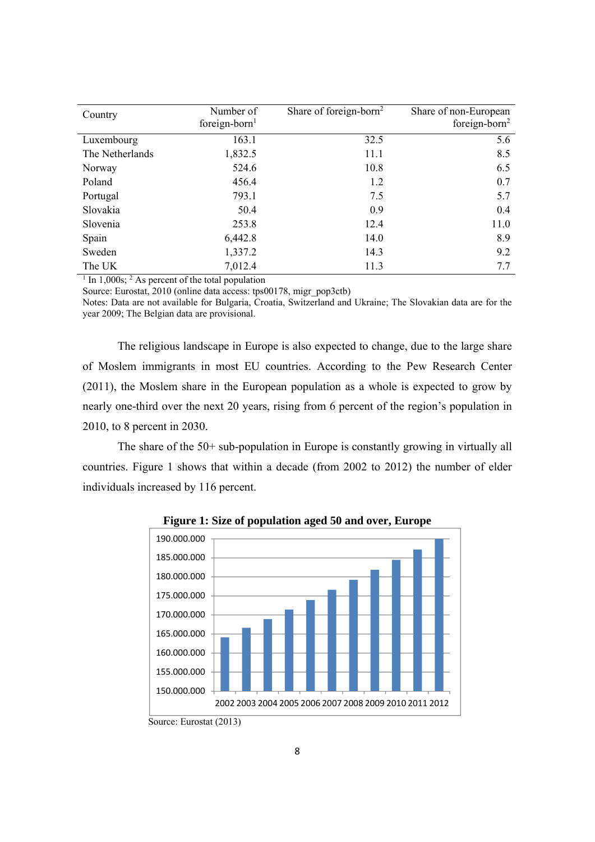| Country         | Number of<br>foreign-born $1$ | Share of foreign-born <sup>2</sup> | Share of non-European<br>foreign-born <sup>2</sup> |
|-----------------|-------------------------------|------------------------------------|----------------------------------------------------|
| Luxembourg      | 163.1                         | 32.5                               | 5.6                                                |
| The Netherlands | 1,832.5                       | 11.1                               | 8.5                                                |
| Norway          | 524.6                         | 10.8                               | 6.5                                                |
| Poland          | 456.4                         | 1.2                                | 0.7                                                |
| Portugal        | 793.1                         | 7.5                                | 5.7                                                |
| Slovakia        | 50.4                          | 0.9                                | 0.4                                                |
| Slovenia        | 253.8                         | 12.4                               | 11.0                                               |
| Spain           | 6,442.8                       | 14.0                               | 8.9                                                |
| Sweden          | 1,337.2                       | 14.3                               | 9.2                                                |
| The UK          | 7,012.4                       | 11.3                               | 7.7                                                |

<sup>1</sup> In 1,000s; <sup>2</sup> As percent of the total population

Source: Eurostat, 2010 (online data access: tps00178, migr\_pop3ctb)

Notes: Data are not available for Bulgaria, Croatia, Switzerland and Ukraine; The Slovakian data are for the year 2009; The Belgian data are provisional.

The religious landscape in Europe is also expected to change, due to the large share of Moslem immigrants in most EU countries. According to the Pew Research Center (2011), the Moslem share in the European population as a whole is expected to grow by nearly one-third over the next 20 years, rising from 6 percent of the region's population in 2010, to 8 percent in 2030.

The share of the 50+ sub-population in Europe is constantly growing in virtually all countries. Figure 1 shows that within a decade (from 2002 to 2012) the number of elder individuals increased by 116 percent.



**Figure 1: Size of population aged 50 and over, Europe** 

Source: Eurostat (2013)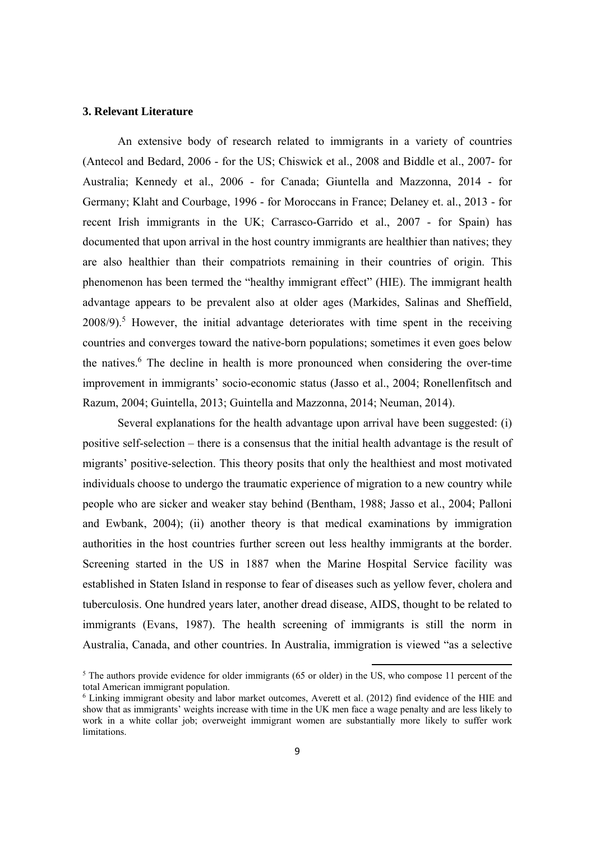#### **3. Relevant Literature**

An extensive body of research related to immigrants in a variety of countries (Antecol and Bedard, 2006 - for the US; Chiswick et al., 2008 and Biddle et al., 2007- for Australia; Kennedy et al., 2006 - for Canada; Giuntella and Mazzonna, 2014 - for Germany; Klaht and Courbage, 1996 - for Moroccans in France; Delaney et. al., 2013 - for recent Irish immigrants in the UK; Carrasco-Garrido et al., 2007 - for Spain) has documented that upon arrival in the host country immigrants are healthier than natives; they are also healthier than their compatriots remaining in their countries of origin. This phenomenon has been termed the "healthy immigrant effect" (HIE). The immigrant health advantage appears to be prevalent also at older ages (Markides, Salinas and Sheffield, 2008/9).<sup>5</sup> However, the initial advantage deteriorates with time spent in the receiving countries and converges toward the native-born populations; sometimes it even goes below the natives.<sup>6</sup> The decline in health is more pronounced when considering the over-time improvement in immigrants' socio-economic status (Jasso et al., 2004; Ronellenfitsch and Razum, 2004; Guintella, 2013; Guintella and Mazzonna, 2014; Neuman, 2014).

Several explanations for the health advantage upon arrival have been suggested: (i) positive self-selection – there is a consensus that the initial health advantage is the result of migrants' positive-selection. This theory posits that only the healthiest and most motivated individuals choose to undergo the traumatic experience of migration to a new country while people who are sicker and weaker stay behind (Bentham, 1988; Jasso et al., 2004; Palloni and Ewbank, 2004); (ii) another theory is that medical examinations by immigration authorities in the host countries further screen out less healthy immigrants at the border. Screening started in the US in 1887 when the Marine Hospital Service facility was established in Staten Island in response to fear of diseases such as yellow fever, cholera and tuberculosis. One hundred years later, another dread disease, AIDS, thought to be related to immigrants (Evans, 1987). The health screening of immigrants is still the norm in Australia, Canada, and other countries. In Australia, immigration is viewed "as a selective

<sup>&</sup>lt;sup>5</sup> The authors provide evidence for older immigrants (65 or older) in the US, who compose 11 percent of the total American immigrant population.

<sup>6</sup> Linking immigrant obesity and labor market outcomes, Averett et al. (2012) find evidence of the HIE and show that as immigrants' weights increase with time in the UK men face a wage penalty and are less likely to work in a white collar job; overweight immigrant women are substantially more likely to suffer work limitations.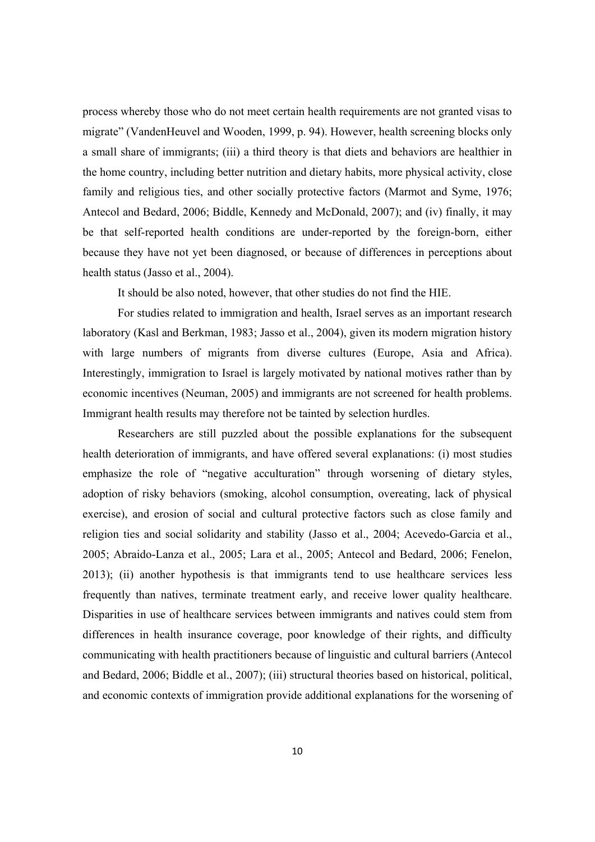process whereby those who do not meet certain health requirements are not granted visas to migrate" (VandenHeuvel and Wooden, 1999, p. 94). However, health screening blocks only a small share of immigrants; (iii) a third theory is that diets and behaviors are healthier in the home country, including better nutrition and dietary habits, more physical activity, close family and religious ties, and other socially protective factors (Marmot and Syme, 1976; Antecol and Bedard, 2006; Biddle, Kennedy and McDonald, 2007); and (iv) finally, it may be that self-reported health conditions are under-reported by the foreign-born, either because they have not yet been diagnosed, or because of differences in perceptions about health status (Jasso et al., 2004).

It should be also noted, however, that other studies do not find the HIE.

For studies related to immigration and health, Israel serves as an important research laboratory (Kasl and Berkman, 1983; Jasso et al., 2004), given its modern migration history with large numbers of migrants from diverse cultures (Europe, Asia and Africa). Interestingly, immigration to Israel is largely motivated by national motives rather than by economic incentives (Neuman, 2005) and immigrants are not screened for health problems. Immigrant health results may therefore not be tainted by selection hurdles.

Researchers are still puzzled about the possible explanations for the subsequent health deterioration of immigrants, and have offered several explanations: (i) most studies emphasize the role of "negative acculturation" through worsening of dietary styles, adoption of risky behaviors (smoking, alcohol consumption, overeating, lack of physical exercise), and erosion of social and cultural protective factors such as close family and religion ties and social solidarity and stability (Jasso et al., 2004; Acevedo-Garcia et al., 2005; Abraido-Lanza et al., 2005; Lara et al., 2005; Antecol and Bedard, 2006; Fenelon, 2013); (ii) another hypothesis is that immigrants tend to use healthcare services less frequently than natives, terminate treatment early, and receive lower quality healthcare. Disparities in use of healthcare services between immigrants and natives could stem from differences in health insurance coverage, poor knowledge of their rights, and difficulty communicating with health practitioners because of linguistic and cultural barriers (Antecol and Bedard, 2006; Biddle et al., 2007); (iii) structural theories based on historical, political, and economic contexts of immigration provide additional explanations for the worsening of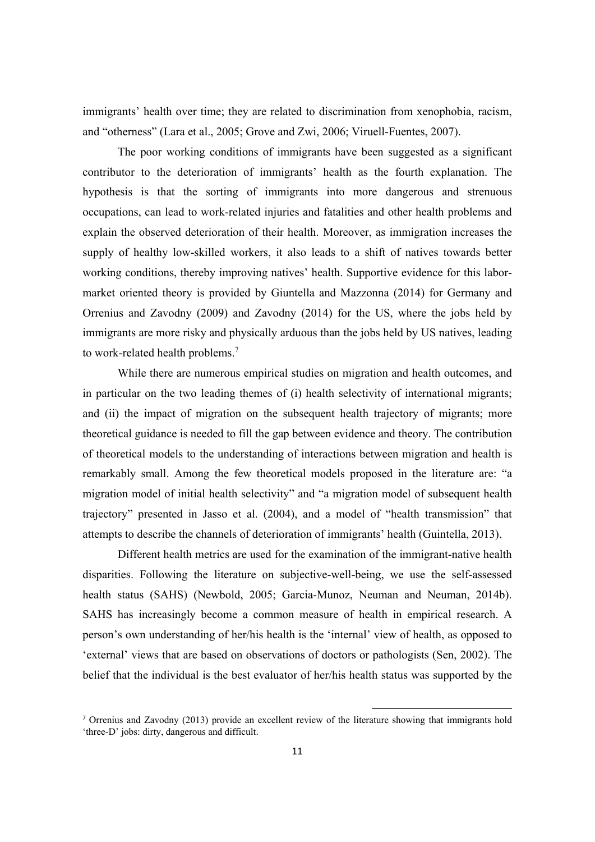immigrants' health over time; they are related to discrimination from xenophobia, racism, and "otherness" (Lara et al., 2005; Grove and Zwi, 2006; Viruell-Fuentes, 2007).

The poor working conditions of immigrants have been suggested as a significant contributor to the deterioration of immigrants' health as the fourth explanation. The hypothesis is that the sorting of immigrants into more dangerous and strenuous occupations, can lead to work-related injuries and fatalities and other health problems and explain the observed deterioration of their health. Moreover, as immigration increases the supply of healthy low-skilled workers, it also leads to a shift of natives towards better working conditions, thereby improving natives' health. Supportive evidence for this labormarket oriented theory is provided by Giuntella and Mazzonna (2014) for Germany and Orrenius and Zavodny (2009) and Zavodny (2014) for the US, where the jobs held by immigrants are more risky and physically arduous than the jobs held by US natives, leading to work-related health problems.<sup>7</sup>

While there are numerous empirical studies on migration and health outcomes, and in particular on the two leading themes of (i) health selectivity of international migrants; and (ii) the impact of migration on the subsequent health trajectory of migrants; more theoretical guidance is needed to fill the gap between evidence and theory. The contribution of theoretical models to the understanding of interactions between migration and health is remarkably small. Among the few theoretical models proposed in the literature are: "a migration model of initial health selectivity" and "a migration model of subsequent health trajectory" presented in Jasso et al. (2004), and a model of "health transmission" that attempts to describe the channels of deterioration of immigrants' health (Guintella, 2013).

Different health metrics are used for the examination of the immigrant-native health disparities. Following the literature on subjective-well-being, we use the self-assessed health status (SAHS) (Newbold, 2005; Garcia-Munoz, Neuman and Neuman, 2014b). SAHS has increasingly become a common measure of health in empirical research. A person's own understanding of her/his health is the 'internal' view of health, as opposed to 'external' views that are based on observations of doctors or pathologists (Sen, 2002). The belief that the individual is the best evaluator of her/his health status was supported by the

<sup>7</sup> Orrenius and Zavodny (2013) provide an excellent review of the literature showing that immigrants hold 'three-D' jobs: dirty, dangerous and difficult.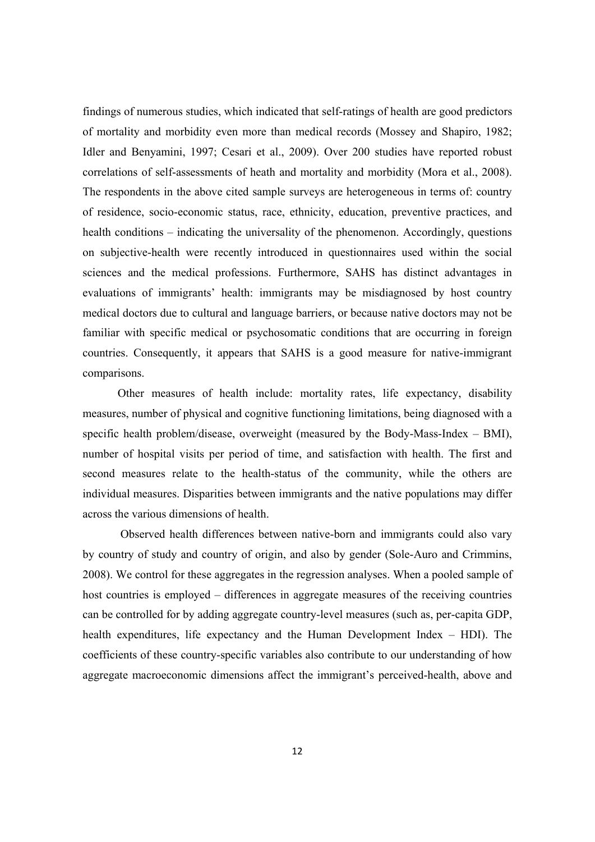findings of numerous studies, which indicated that self-ratings of health are good predictors of mortality and morbidity even more than medical records (Mossey and Shapiro, 1982; Idler and Benyamini, 1997; Cesari et al., 2009). Over 200 studies have reported robust correlations of self-assessments of heath and mortality and morbidity (Mora et al., 2008). The respondents in the above cited sample surveys are heterogeneous in terms of: country of residence, socio-economic status, race, ethnicity, education, preventive practices, and health conditions – indicating the universality of the phenomenon. Accordingly, questions on subjective-health were recently introduced in questionnaires used within the social sciences and the medical professions. Furthermore, SAHS has distinct advantages in evaluations of immigrants' health: immigrants may be misdiagnosed by host country medical doctors due to cultural and language barriers, or because native doctors may not be familiar with specific medical or psychosomatic conditions that are occurring in foreign countries. Consequently, it appears that SAHS is a good measure for native-immigrant comparisons.

Other measures of health include: mortality rates, life expectancy, disability measures, number of physical and cognitive functioning limitations, being diagnosed with a specific health problem/disease, overweight (measured by the Body-Mass-Index – BMI), number of hospital visits per period of time, and satisfaction with health. The first and second measures relate to the health-status of the community, while the others are individual measures. Disparities between immigrants and the native populations may differ across the various dimensions of health.

 Observed health differences between native-born and immigrants could also vary by country of study and country of origin, and also by gender (Sole-Auro and Crimmins, 2008). We control for these aggregates in the regression analyses. When a pooled sample of host countries is employed – differences in aggregate measures of the receiving countries can be controlled for by adding aggregate country-level measures (such as, per-capita GDP, health expenditures, life expectancy and the Human Development Index – HDI). The coefficients of these country-specific variables also contribute to our understanding of how aggregate macroeconomic dimensions affect the immigrant's perceived-health, above and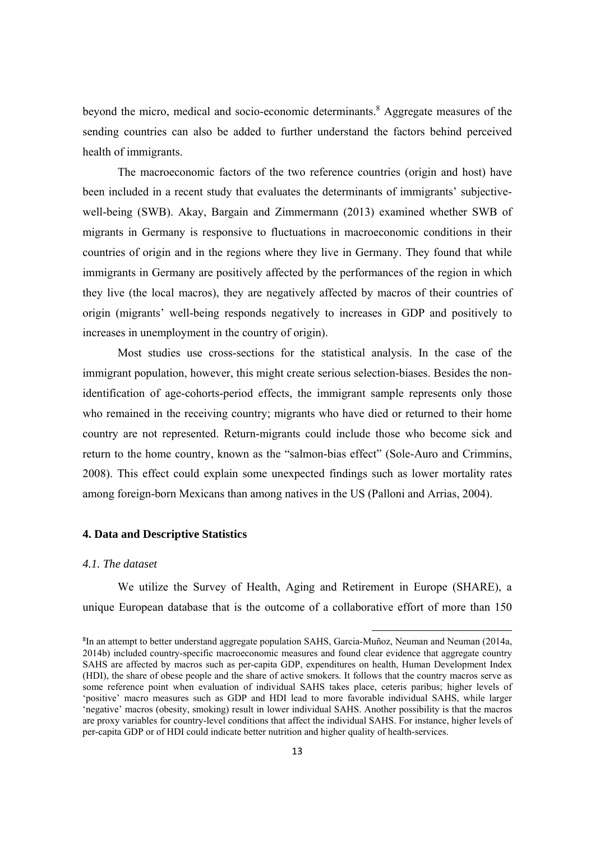beyond the micro, medical and socio-economic determinants.<sup>8</sup> Aggregate measures of the sending countries can also be added to further understand the factors behind perceived health of immigrants.

The macroeconomic factors of the two reference countries (origin and host) have been included in a recent study that evaluates the determinants of immigrants' subjectivewell-being (SWB). Akay, Bargain and Zimmermann (2013) examined whether SWB of migrants in Germany is responsive to fluctuations in macroeconomic conditions in their countries of origin and in the regions where they live in Germany. They found that while immigrants in Germany are positively affected by the performances of the region in which they live (the local macros), they are negatively affected by macros of their countries of origin (migrants' well-being responds negatively to increases in GDP and positively to increases in unemployment in the country of origin).

Most studies use cross-sections for the statistical analysis. In the case of the immigrant population, however, this might create serious selection-biases. Besides the nonidentification of age-cohorts-period effects, the immigrant sample represents only those who remained in the receiving country; migrants who have died or returned to their home country are not represented. Return-migrants could include those who become sick and return to the home country, known as the "salmon-bias effect" (Sole-Auro and Crimmins, 2008). This effect could explain some unexpected findings such as lower mortality rates among foreign-born Mexicans than among natives in the US (Palloni and Arrias, 2004).

#### **4. Data and Descriptive Statistics**

#### *4.1. The dataset*

We utilize the Survey of Health, Aging and Retirement in Europe (SHARE), a unique European database that is the outcome of a collaborative effort of more than 150

<sup>8</sup> In an attempt to better understand aggregate population SAHS, Garcia-Muñoz, Neuman and Neuman (2014a, 2014b) included country-specific macroeconomic measures and found clear evidence that aggregate country SAHS are affected by macros such as per-capita GDP, expenditures on health, Human Development Index (HDI), the share of obese people and the share of active smokers. It follows that the country macros serve as some reference point when evaluation of individual SAHS takes place, ceteris paribus; higher levels of 'positive' macro measures such as GDP and HDI lead to more favorable individual SAHS, while larger 'negative' macros (obesity, smoking) result in lower individual SAHS. Another possibility is that the macros are proxy variables for country-level conditions that affect the individual SAHS. For instance, higher levels of per-capita GDP or of HDI could indicate better nutrition and higher quality of health-services.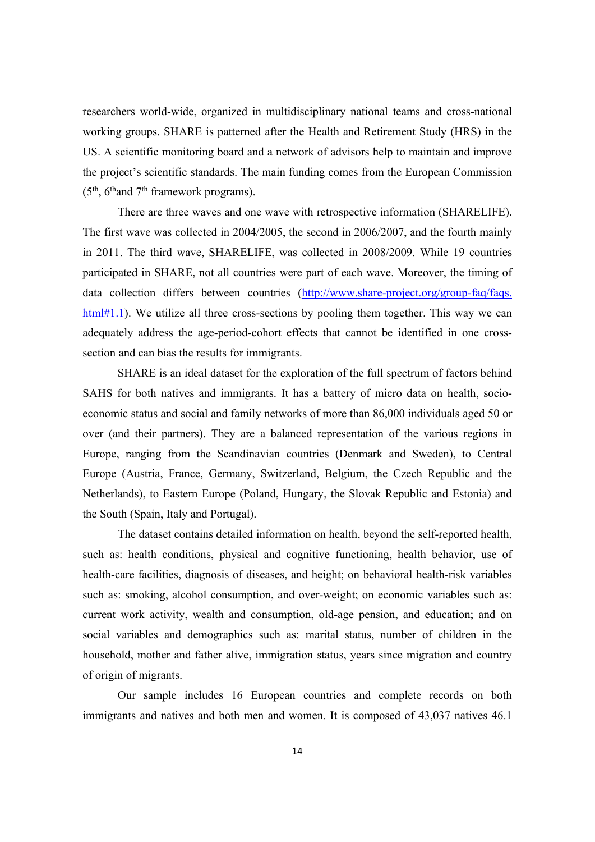researchers world-wide, organized in multidisciplinary national teams and cross-national working groups. SHARE is patterned after the Health and Retirement Study (HRS) in the US. A scientific monitoring board and a network of advisors help to maintain and improve the project's scientific standards. The main funding comes from the European Commission  $(5<sup>th</sup>, 6<sup>th</sup>$  and  $7<sup>th</sup>$  framework programs).

There are three waves and one wave with retrospective information (SHARELIFE). The first wave was collected in 2004/2005, the second in 2006/2007, and the fourth mainly in 2011. The third wave, SHARELIFE, was collected in 2008/2009. While 19 countries participated in SHARE, not all countries were part of each wave. Moreover, the timing of data collection differs between countries (http://www.share-project.org/group-faq/faqs. html#1.1). We utilize all three cross-sections by pooling them together. This way we can adequately address the age-period-cohort effects that cannot be identified in one crosssection and can bias the results for immigrants.

SHARE is an ideal dataset for the exploration of the full spectrum of factors behind SAHS for both natives and immigrants. It has a battery of micro data on health, socioeconomic status and social and family networks of more than 86,000 individuals aged 50 or over (and their partners). They are a balanced representation of the various regions in Europe, ranging from the Scandinavian countries (Denmark and Sweden), to Central Europe (Austria, France, Germany, Switzerland, Belgium, the Czech Republic and the Netherlands), to Eastern Europe (Poland, Hungary, the Slovak Republic and Estonia) and the South (Spain, Italy and Portugal).

The dataset contains detailed information on health, beyond the self-reported health, such as: health conditions, physical and cognitive functioning, health behavior, use of health-care facilities, diagnosis of diseases, and height; on behavioral health-risk variables such as: smoking, alcohol consumption, and over-weight; on economic variables such as: current work activity, wealth and consumption, old-age pension, and education; and on social variables and demographics such as: marital status, number of children in the household, mother and father alive, immigration status, years since migration and country of origin of migrants.

Our sample includes 16 European countries and complete records on both immigrants and natives and both men and women. It is composed of 43,037 natives 46.1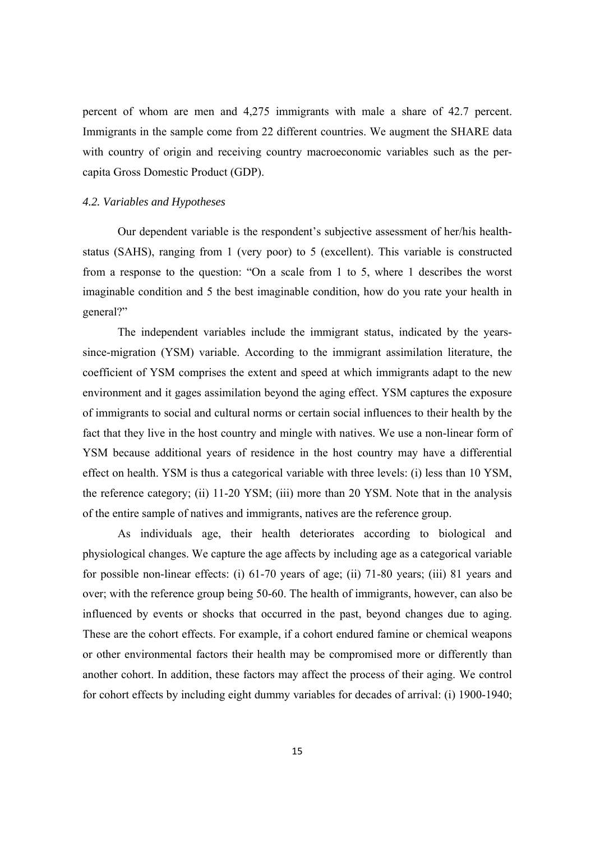percent of whom are men and 4,275 immigrants with male a share of 42.7 percent. Immigrants in the sample come from 22 different countries. We augment the SHARE data with country of origin and receiving country macroeconomic variables such as the percapita Gross Domestic Product (GDP).

#### *4.2. Variables and Hypotheses*

Our dependent variable is the respondent's subjective assessment of her/his healthstatus (SAHS), ranging from 1 (very poor) to 5 (excellent). This variable is constructed from a response to the question: "On a scale from 1 to 5, where 1 describes the worst imaginable condition and 5 the best imaginable condition, how do you rate your health in general?"

The independent variables include the immigrant status, indicated by the yearssince-migration (YSM) variable. According to the immigrant assimilation literature, the coefficient of YSM comprises the extent and speed at which immigrants adapt to the new environment and it gages assimilation beyond the aging effect. YSM captures the exposure of immigrants to social and cultural norms or certain social influences to their health by the fact that they live in the host country and mingle with natives. We use a non-linear form of YSM because additional years of residence in the host country may have a differential effect on health. YSM is thus a categorical variable with three levels: (i) less than 10 YSM, the reference category; (ii) 11-20 YSM; (iii) more than 20 YSM. Note that in the analysis of the entire sample of natives and immigrants, natives are the reference group.

As individuals age, their health deteriorates according to biological and physiological changes. We capture the age affects by including age as a categorical variable for possible non-linear effects: (i) 61-70 years of age; (ii) 71-80 years; (iii) 81 years and over; with the reference group being 50-60. The health of immigrants, however, can also be influenced by events or shocks that occurred in the past, beyond changes due to aging. These are the cohort effects. For example, if a cohort endured famine or chemical weapons or other environmental factors their health may be compromised more or differently than another cohort. In addition, these factors may affect the process of their aging. We control for cohort effects by including eight dummy variables for decades of arrival: (i) 1900-1940;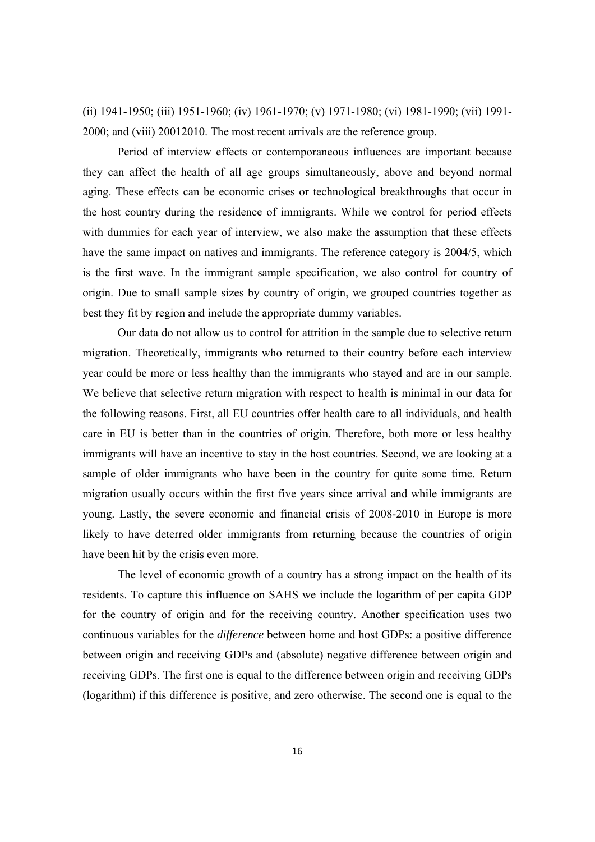(ii) 1941-1950; (iii) 1951-1960; (iv) 1961-1970; (v) 1971-1980; (vi) 1981-1990; (vii) 1991- 2000; and (viii) 20012010. The most recent arrivals are the reference group.

Period of interview effects or contemporaneous influences are important because they can affect the health of all age groups simultaneously, above and beyond normal aging. These effects can be economic crises or technological breakthroughs that occur in the host country during the residence of immigrants. While we control for period effects with dummies for each year of interview, we also make the assumption that these effects have the same impact on natives and immigrants. The reference category is 2004/5, which is the first wave. In the immigrant sample specification, we also control for country of origin. Due to small sample sizes by country of origin, we grouped countries together as best they fit by region and include the appropriate dummy variables.

Our data do not allow us to control for attrition in the sample due to selective return migration. Theoretically, immigrants who returned to their country before each interview year could be more or less healthy than the immigrants who stayed and are in our sample. We believe that selective return migration with respect to health is minimal in our data for the following reasons. First, all EU countries offer health care to all individuals, and health care in EU is better than in the countries of origin. Therefore, both more or less healthy immigrants will have an incentive to stay in the host countries. Second, we are looking at a sample of older immigrants who have been in the country for quite some time. Return migration usually occurs within the first five years since arrival and while immigrants are young. Lastly, the severe economic and financial crisis of 2008-2010 in Europe is more likely to have deterred older immigrants from returning because the countries of origin have been hit by the crisis even more.

The level of economic growth of a country has a strong impact on the health of its residents. To capture this influence on SAHS we include the logarithm of per capita GDP for the country of origin and for the receiving country. Another specification uses two continuous variables for the *difference* between home and host GDPs: a positive difference between origin and receiving GDPs and (absolute) negative difference between origin and receiving GDPs. The first one is equal to the difference between origin and receiving GDPs (logarithm) if this difference is positive, and zero otherwise. The second one is equal to the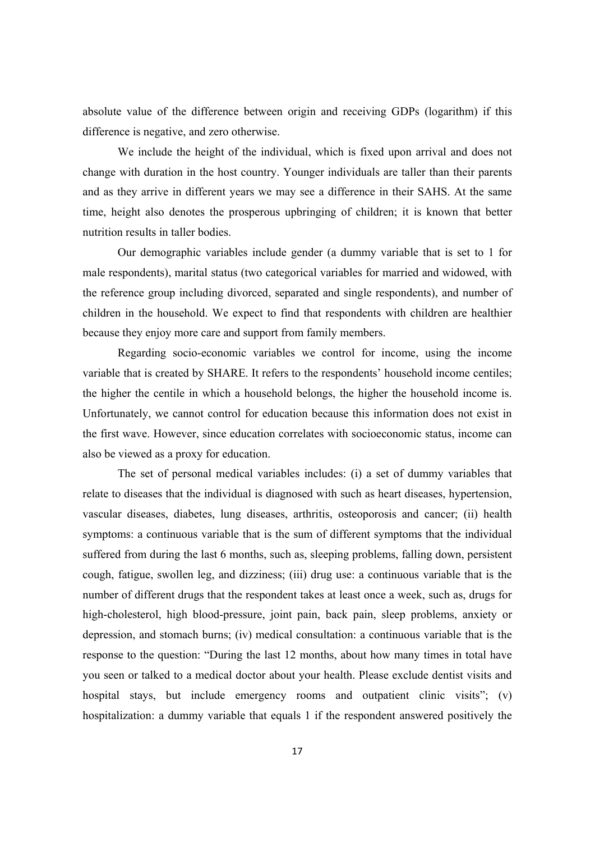absolute value of the difference between origin and receiving GDPs (logarithm) if this difference is negative, and zero otherwise.

We include the height of the individual, which is fixed upon arrival and does not change with duration in the host country. Younger individuals are taller than their parents and as they arrive in different years we may see a difference in their SAHS. At the same time, height also denotes the prosperous upbringing of children; it is known that better nutrition results in taller bodies.

Our demographic variables include gender (a dummy variable that is set to 1 for male respondents), marital status (two categorical variables for married and widowed, with the reference group including divorced, separated and single respondents), and number of children in the household. We expect to find that respondents with children are healthier because they enjoy more care and support from family members.

Regarding socio-economic variables we control for income, using the income variable that is created by SHARE. It refers to the respondents' household income centiles; the higher the centile in which a household belongs, the higher the household income is. Unfortunately, we cannot control for education because this information does not exist in the first wave. However, since education correlates with socioeconomic status, income can also be viewed as a proxy for education.

The set of personal medical variables includes: (i) a set of dummy variables that relate to diseases that the individual is diagnosed with such as heart diseases, hypertension, vascular diseases, diabetes, lung diseases, arthritis, osteoporosis and cancer; (ii) health symptoms: a continuous variable that is the sum of different symptoms that the individual suffered from during the last 6 months, such as, sleeping problems, falling down, persistent cough, fatigue, swollen leg, and dizziness; (iii) drug use: a continuous variable that is the number of different drugs that the respondent takes at least once a week, such as, drugs for high-cholesterol, high blood-pressure, joint pain, back pain, sleep problems, anxiety or depression, and stomach burns; (iv) medical consultation: a continuous variable that is the response to the question: "During the last 12 months, about how many times in total have you seen or talked to a medical doctor about your health. Please exclude dentist visits and hospital stays, but include emergency rooms and outpatient clinic visits"; (v) hospitalization: a dummy variable that equals 1 if the respondent answered positively the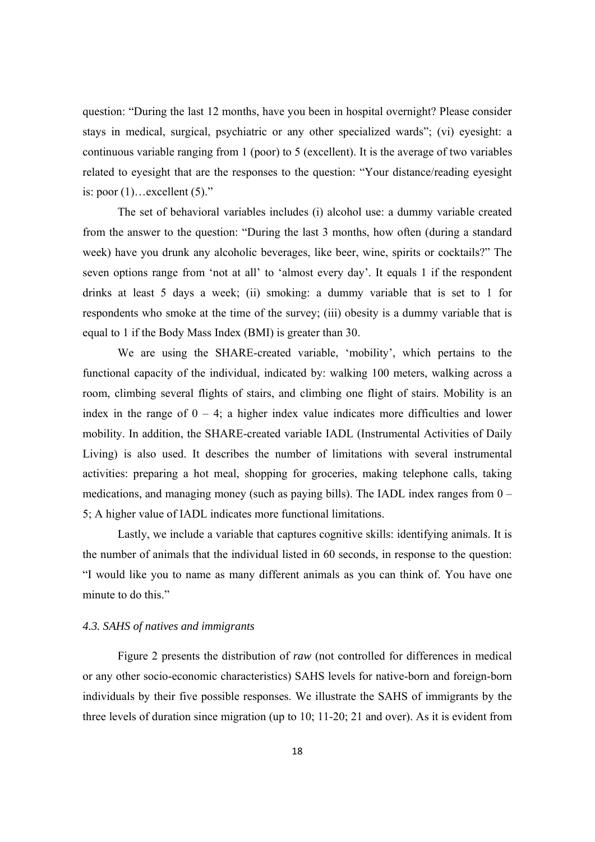question: "During the last 12 months, have you been in hospital overnight? Please consider stays in medical, surgical, psychiatric or any other specialized wards"; (vi) eyesight: a continuous variable ranging from 1 (poor) to 5 (excellent). It is the average of two variables related to eyesight that are the responses to the question: "Your distance/reading eyesight is: poor  $(1)$ …excellent  $(5)$ ."

The set of behavioral variables includes (i) alcohol use: a dummy variable created from the answer to the question: "During the last 3 months, how often (during a standard week) have you drunk any alcoholic beverages, like beer, wine, spirits or cocktails?" The seven options range from 'not at all' to 'almost every day'. It equals 1 if the respondent drinks at least 5 days a week; (ii) smoking: a dummy variable that is set to 1 for respondents who smoke at the time of the survey; (iii) obesity is a dummy variable that is equal to 1 if the Body Mass Index (BMI) is greater than 30.

We are using the SHARE-created variable, 'mobility', which pertains to the functional capacity of the individual, indicated by: walking 100 meters, walking across a room, climbing several flights of stairs, and climbing one flight of stairs. Mobility is an index in the range of  $0 - 4$ ; a higher index value indicates more difficulties and lower mobility. In addition, the SHARE-created variable IADL (Instrumental Activities of Daily Living) is also used. It describes the number of limitations with several instrumental activities: preparing a hot meal, shopping for groceries, making telephone calls, taking medications, and managing money (such as paying bills). The IADL index ranges from 0 – 5; A higher value of IADL indicates more functional limitations.

Lastly, we include a variable that captures cognitive skills: identifying animals. It is the number of animals that the individual listed in 60 seconds, in response to the question: "I would like you to name as many different animals as you can think of. You have one minute to do this."

#### *4.3. SAHS of natives and immigrants*

Figure 2 presents the distribution of *raw* (not controlled for differences in medical or any other socio-economic characteristics) SAHS levels for native-born and foreign-born individuals by their five possible responses. We illustrate the SAHS of immigrants by the three levels of duration since migration (up to 10; 11-20; 21 and over). As it is evident from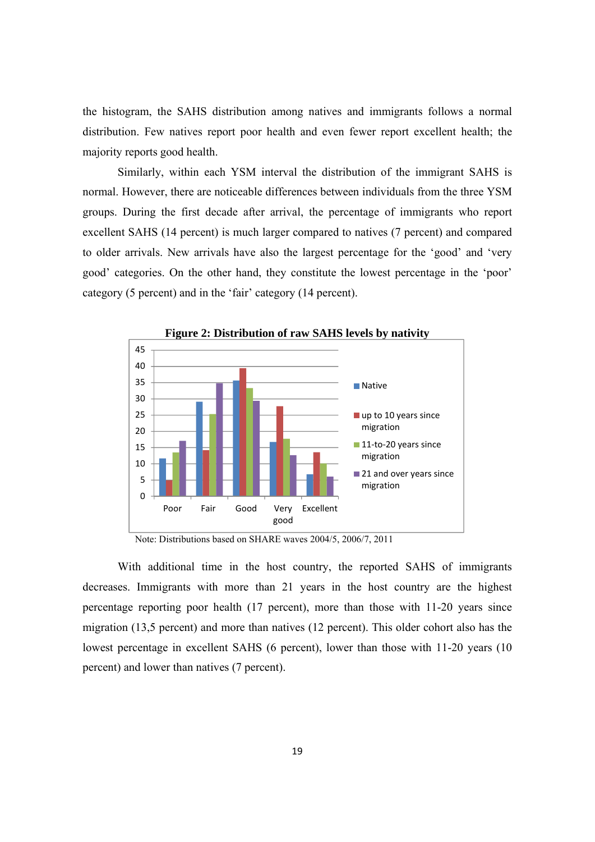the histogram, the SAHS distribution among natives and immigrants follows a normal distribution. Few natives report poor health and even fewer report excellent health; the majority reports good health.

Similarly, within each YSM interval the distribution of the immigrant SAHS is normal. However, there are noticeable differences between individuals from the three YSM groups. During the first decade after arrival, the percentage of immigrants who report excellent SAHS (14 percent) is much larger compared to natives (7 percent) and compared to older arrivals. New arrivals have also the largest percentage for the 'good' and 'very good' categories. On the other hand, they constitute the lowest percentage in the 'poor' category (5 percent) and in the 'fair' category (14 percent).



Note: Distributions based on SHARE waves 2004/5, 2006/7, 2011

With additional time in the host country, the reported SAHS of immigrants decreases. Immigrants with more than 21 years in the host country are the highest percentage reporting poor health (17 percent), more than those with 11-20 years since migration (13,5 percent) and more than natives (12 percent). This older cohort also has the lowest percentage in excellent SAHS (6 percent), lower than those with 11-20 years (10 percent) and lower than natives (7 percent).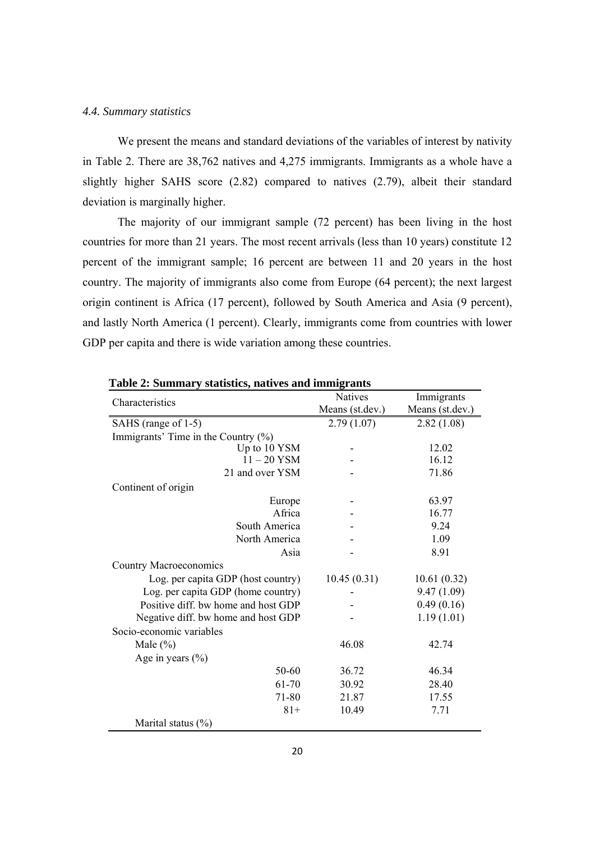#### *4.4. Summary statistics*

We present the means and standard deviations of the variables of interest by nativity in Table 2. There are 38,762 natives and 4,275 immigrants. Immigrants as a whole have a slightly higher SAHS score (2.82) compared to natives (2.79), albeit their standard deviation is marginally higher.

The majority of our immigrant sample (72 percent) has been living in the host countries for more than 21 years. The most recent arrivals (less than 10 years) constitute 12 percent of the immigrant sample; 16 percent are between 11 and 20 years in the host country. The majority of immigrants also come from Europe (64 percent); the next largest origin continent is Africa (17 percent), followed by South America and Asia (9 percent), and lastly North America (1 percent). Clearly, immigrants come from countries with lower GDP per capita and there is wide variation among these countries.

| Table 2: Summary statistics, natives and immigrants |                 |                 |  |  |  |
|-----------------------------------------------------|-----------------|-----------------|--|--|--|
| Characteristics                                     | <b>Natives</b>  | Immigrants      |  |  |  |
|                                                     | Means (st.dev.) | Means (st.dev.) |  |  |  |
| SAHS (range of 1-5)                                 | 2.79(1.07)      | 2.82(1.08)      |  |  |  |
| Immigrants' Time in the Country $(\%)$              |                 |                 |  |  |  |
| Up to 10 YSM                                        |                 | 12.02           |  |  |  |
| $11 - 20$ YSM                                       |                 | 16.12           |  |  |  |
| 21 and over YSM                                     |                 | 71.86           |  |  |  |
| Continent of origin                                 |                 |                 |  |  |  |
| Europe                                              |                 | 63.97           |  |  |  |
| Africa                                              |                 | 16.77           |  |  |  |
| South America                                       |                 | 9.24            |  |  |  |
| North America                                       |                 | 1.09            |  |  |  |
| Asia                                                |                 | 8.91            |  |  |  |
| <b>Country Macroeconomics</b>                       |                 |                 |  |  |  |
| Log. per capita GDP (host country)                  | 10.45(0.31)     | 10.61(0.32)     |  |  |  |
| Log. per capita GDP (home country)                  |                 | 9.47(1.09)      |  |  |  |
| Positive diff. bw home and host GDP                 |                 | 0.49(0.16)      |  |  |  |
| Negative diff. bw home and host GDP                 |                 | 1.19(1.01)      |  |  |  |
| Socio-economic variables                            |                 |                 |  |  |  |
| Male $(\%)$                                         | 46.08           | 42.74           |  |  |  |
| Age in years $(\% )$                                |                 |                 |  |  |  |
| 50-60                                               | 36.72           | 46.34           |  |  |  |
| 61-70                                               | 30.92           | 28.40           |  |  |  |
| 71-80                                               | 21.87           | 17.55           |  |  |  |
| $81+$                                               | 10.49           | 7.71            |  |  |  |
| Marital status $(\%)$                               |                 |                 |  |  |  |

|  |  | Table 2: Summary statistics, natives and immigrants |
|--|--|-----------------------------------------------------|
|  |  |                                                     |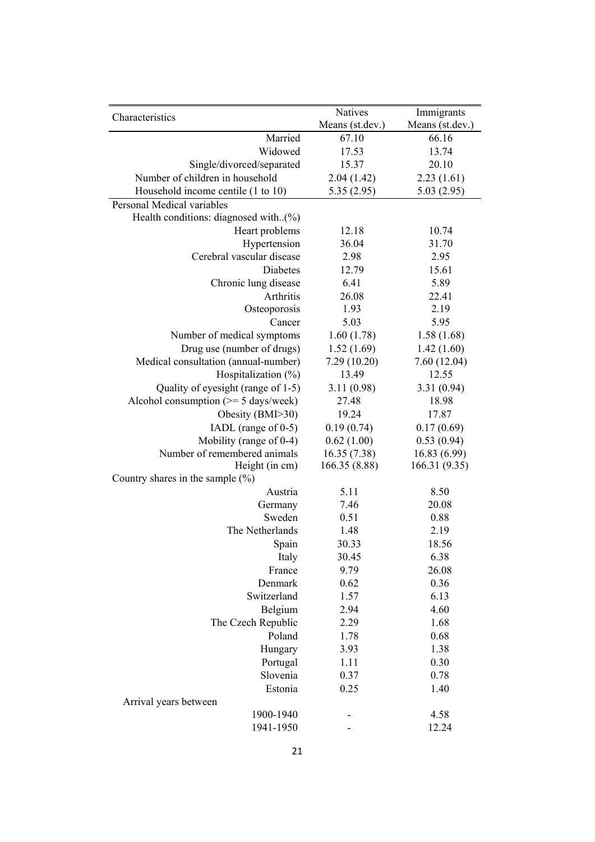|                                                | Natives         | Immigrants      |
|------------------------------------------------|-----------------|-----------------|
| Characteristics                                | Means (st.dev.) | Means (st.dev.) |
| Married                                        | 67.10           | 66.16           |
| Widowed                                        | 17.53           | 13.74           |
| Single/divorced/separated                      | 15.37           | 20.10           |
| Number of children in household                | 2.04(1.42)      | 2.23(1.61)      |
| Household income centile (1 to 10)             | 5.35(2.95)      | 5.03(2.95)      |
| Personal Medical variables                     |                 |                 |
| Health conditions: diagnosed with(%)           |                 |                 |
| Heart problems                                 | 12.18           | 10.74           |
| Hypertension                                   | 36.04           | 31.70           |
| Cerebral vascular disease                      | 2.98            | 2.95            |
| Diabetes                                       | 12.79           | 15.61           |
| Chronic lung disease                           | 6.41            | 5.89            |
| Arthritis                                      | 26.08           | 22.41           |
| Osteoporosis                                   | 1.93            | 2.19            |
| Cancer                                         | 5.03            | 5.95            |
| Number of medical symptoms                     | 1.60(1.78)      | 1.58(1.68)      |
| Drug use (number of drugs)                     | 1.52(1.69)      | 1.42(1.60)      |
| Medical consultation (annual-number)           | 7.29 (10.20)    | 7.60(12.04)     |
| Hospitalization (%)                            | 13.49           | 12.55           |
| Quality of eyesight (range of 1-5)             | 3.11 (0.98)     | 3.31(0.94)      |
| Alcohol consumption $(>= 5 \text{ days/week})$ | 27.48           | 18.98           |
| Obesity (BMI>30)                               | 19.24           | 17.87           |
| IADL (range of 0-5)                            | 0.19(0.74)      | 0.17(0.69)      |
| Mobility (range of 0-4)                        | 0.62(1.00)      | 0.53(0.94)      |
| Number of remembered animals                   | 16.35(7.38)     | 16.83 (6.99)    |
| Height (in cm)                                 | 166.35 (8.88)   | 166.31 (9.35)   |
| Country shares in the sample $(\%)$            |                 |                 |
| Austria                                        | 5.11            | 8.50            |
| Germany                                        | 7.46            | 20.08           |
| Sweden                                         | 0.51            | 0.88            |
| The Netherlands                                | 1.48            | 2.19            |
| Spain                                          | 30.33           | 18.56           |
| Italy                                          | 30.45           | 6.38            |
| France                                         | 9.79            | 26.08           |
| Denmark                                        | 0.62            | 0.36            |
| Switzerland                                    | 1.57            | 6.13            |
| Belgium                                        | 2.94            | 4.60            |
| The Czech Republic                             | 2.29            | 1.68            |
| Poland                                         | 1.78            | 0.68            |
| Hungary                                        | 3.93            | 1.38            |
| Portugal                                       | 1.11            | 0.30            |
| Slovenia                                       | 0.37            | 0.78            |
| Estonia                                        | 0.25            | 1.40            |
| Arrival years between<br>1900-1940             |                 | 4.58            |
| 1941-1950                                      |                 | 12.24           |
|                                                |                 |                 |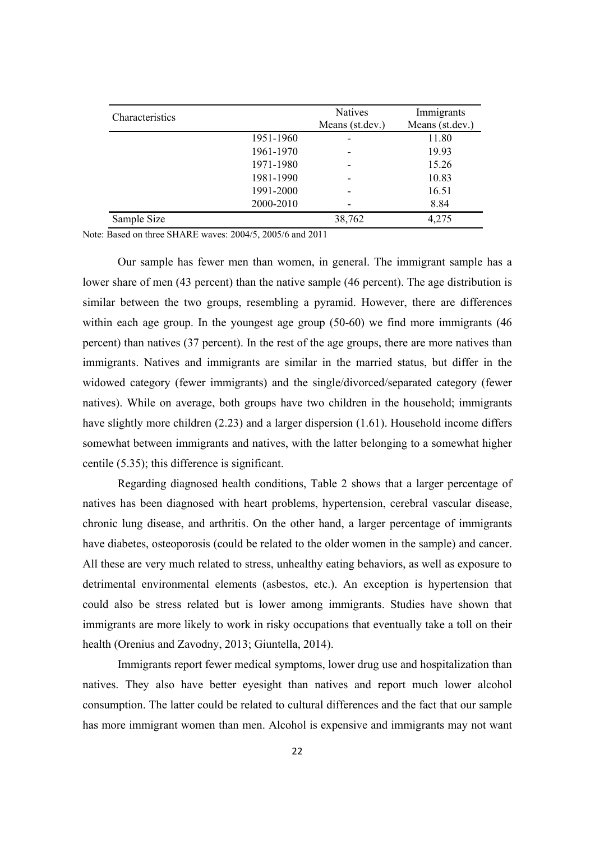| Characteristics |           | Natives         | Immigrants      |
|-----------------|-----------|-----------------|-----------------|
|                 |           | Means (st.dev.) | Means (st.dev.) |
|                 | 1951-1960 | ٠               | 11.80           |
|                 | 1961-1970 |                 | 19.93           |
|                 | 1971-1980 | -               | 15.26           |
|                 | 1981-1990 | -               | 10.83           |
|                 | 1991-2000 | -               | 16.51           |
|                 | 2000-2010 | -               | 8.84            |
| Sample Size     |           | 38,762          | 4,275           |

Note: Based on three SHARE waves: 2004/5, 2005/6 and 2011

 Our sample has fewer men than women, in general. The immigrant sample has a lower share of men (43 percent) than the native sample (46 percent). The age distribution is similar between the two groups, resembling a pyramid. However, there are differences within each age group. In the youngest age group (50-60) we find more immigrants (46 percent) than natives (37 percent). In the rest of the age groups, there are more natives than immigrants. Natives and immigrants are similar in the married status, but differ in the widowed category (fewer immigrants) and the single/divorced/separated category (fewer natives). While on average, both groups have two children in the household; immigrants have slightly more children (2.23) and a larger dispersion (1.61). Household income differs somewhat between immigrants and natives, with the latter belonging to a somewhat higher centile (5.35); this difference is significant.

 Regarding diagnosed health conditions, Table 2 shows that a larger percentage of natives has been diagnosed with heart problems, hypertension, cerebral vascular disease, chronic lung disease, and arthritis. On the other hand, a larger percentage of immigrants have diabetes, osteoporosis (could be related to the older women in the sample) and cancer. All these are very much related to stress, unhealthy eating behaviors, as well as exposure to detrimental environmental elements (asbestos, etc.). An exception is hypertension that could also be stress related but is lower among immigrants. Studies have shown that immigrants are more likely to work in risky occupations that eventually take a toll on their health (Orenius and Zavodny, 2013; Giuntella, 2014).

Immigrants report fewer medical symptoms, lower drug use and hospitalization than natives. They also have better eyesight than natives and report much lower alcohol consumption. The latter could be related to cultural differences and the fact that our sample has more immigrant women than men. Alcohol is expensive and immigrants may not want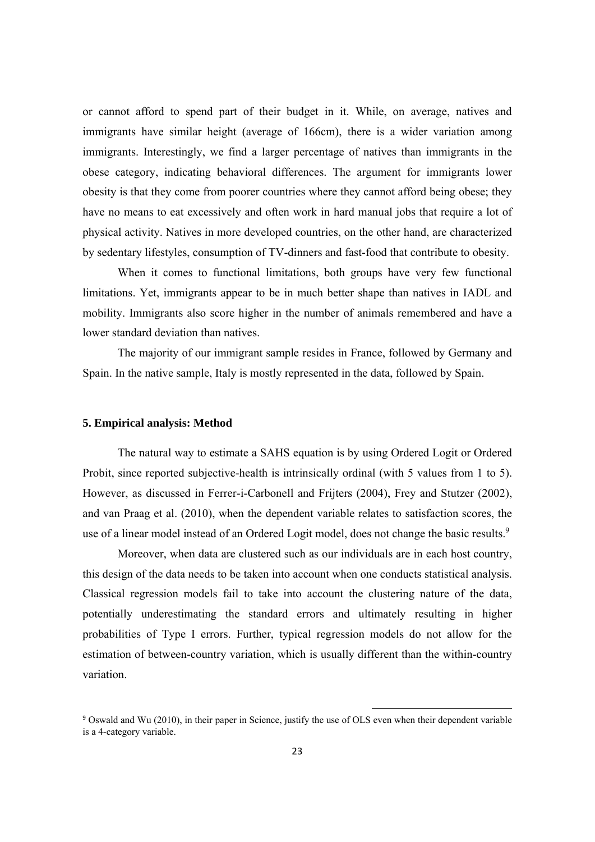or cannot afford to spend part of their budget in it. While, on average, natives and immigrants have similar height (average of 166cm), there is a wider variation among immigrants. Interestingly, we find a larger percentage of natives than immigrants in the obese category, indicating behavioral differences. The argument for immigrants lower obesity is that they come from poorer countries where they cannot afford being obese; they have no means to eat excessively and often work in hard manual jobs that require a lot of physical activity. Natives in more developed countries, on the other hand, are characterized by sedentary lifestyles, consumption of TV-dinners and fast-food that contribute to obesity.

 When it comes to functional limitations, both groups have very few functional limitations. Yet, immigrants appear to be in much better shape than natives in IADL and mobility. Immigrants also score higher in the number of animals remembered and have a lower standard deviation than natives.

 The majority of our immigrant sample resides in France, followed by Germany and Spain. In the native sample, Italy is mostly represented in the data, followed by Spain.

#### **5. Empirical analysis: Method**

The natural way to estimate a SAHS equation is by using Ordered Logit or Ordered Probit, since reported subjective-health is intrinsically ordinal (with 5 values from 1 to 5). However, as discussed in Ferrer-i-Carbonell and Frijters (2004), Frey and Stutzer (2002), and van Praag et al. (2010), when the dependent variable relates to satisfaction scores, the use of a linear model instead of an Ordered Logit model, does not change the basic results.<sup>9</sup>

Moreover, when data are clustered such as our individuals are in each host country, this design of the data needs to be taken into account when one conducts statistical analysis. Classical regression models fail to take into account the clustering nature of the data, potentially underestimating the standard errors and ultimately resulting in higher probabilities of Type I errors. Further, typical regression models do not allow for the estimation of between-country variation, which is usually different than the within-country variation.

<sup>&</sup>lt;sup>9</sup> Oswald and Wu (2010), in their paper in Science, justify the use of OLS even when their dependent variable is a 4-category variable.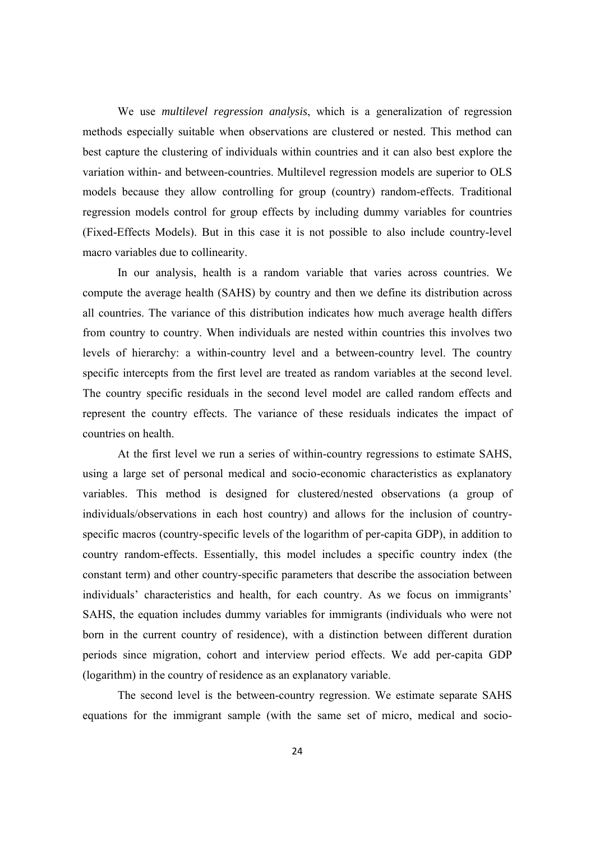We use *multilevel regression analysis*, which is a generalization of regression methods especially suitable when observations are clustered or nested. This method can best capture the clustering of individuals within countries and it can also best explore the variation within- and between-countries. Multilevel regression models are superior to OLS models because they allow controlling for group (country) random-effects. Traditional regression models control for group effects by including dummy variables for countries (Fixed-Effects Models). But in this case it is not possible to also include country-level macro variables due to collinearity.

In our analysis, health is a random variable that varies across countries. We compute the average health (SAHS) by country and then we define its distribution across all countries. The variance of this distribution indicates how much average health differs from country to country. When individuals are nested within countries this involves two levels of hierarchy: a within-country level and a between-country level. The country specific intercepts from the first level are treated as random variables at the second level. The country specific residuals in the second level model are called random effects and represent the country effects. The variance of these residuals indicates the impact of countries on health.

At the first level we run a series of within-country regressions to estimate SAHS, using a large set of personal medical and socio-economic characteristics as explanatory variables. This method is designed for clustered/nested observations (a group of individuals/observations in each host country) and allows for the inclusion of countryspecific macros (country-specific levels of the logarithm of per-capita GDP), in addition to country random-effects. Essentially, this model includes a specific country index (the constant term) and other country-specific parameters that describe the association between individuals' characteristics and health, for each country. As we focus on immigrants' SAHS, the equation includes dummy variables for immigrants (individuals who were not born in the current country of residence), with a distinction between different duration periods since migration, cohort and interview period effects. We add per-capita GDP (logarithm) in the country of residence as an explanatory variable.

The second level is the between-country regression. We estimate separate SAHS equations for the immigrant sample (with the same set of micro, medical and socio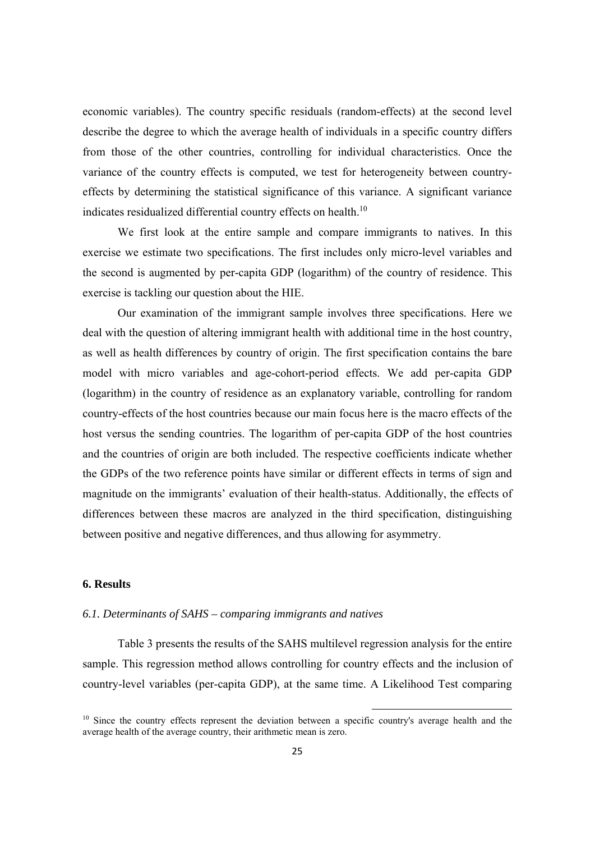economic variables). The country specific residuals (random-effects) at the second level describe the degree to which the average health of individuals in a specific country differs from those of the other countries, controlling for individual characteristics. Once the variance of the country effects is computed, we test for heterogeneity between countryeffects by determining the statistical significance of this variance. A significant variance indicates residualized differential country effects on health.<sup>10</sup>

We first look at the entire sample and compare immigrants to natives. In this exercise we estimate two specifications. The first includes only micro-level variables and the second is augmented by per-capita GDP (logarithm) of the country of residence. This exercise is tackling our question about the HIE.

Our examination of the immigrant sample involves three specifications. Here we deal with the question of altering immigrant health with additional time in the host country, as well as health differences by country of origin. The first specification contains the bare model with micro variables and age-cohort-period effects. We add per-capita GDP (logarithm) in the country of residence as an explanatory variable, controlling for random country-effects of the host countries because our main focus here is the macro effects of the host versus the sending countries. The logarithm of per-capita GDP of the host countries and the countries of origin are both included. The respective coefficients indicate whether the GDPs of the two reference points have similar or different effects in terms of sign and magnitude on the immigrants' evaluation of their health-status. Additionally, the effects of differences between these macros are analyzed in the third specification, distinguishing between positive and negative differences, and thus allowing for asymmetry.

#### **6. Results**

#### *6.1. Determinants of SAHS – comparing immigrants and natives*

Table 3 presents the results of the SAHS multilevel regression analysis for the entire sample. This regression method allows controlling for country effects and the inclusion of country-level variables (per-capita GDP), at the same time. A Likelihood Test comparing

<sup>&</sup>lt;sup>10</sup> Since the country effects represent the deviation between a specific country's average health and the average health of the average country, their arithmetic mean is zero.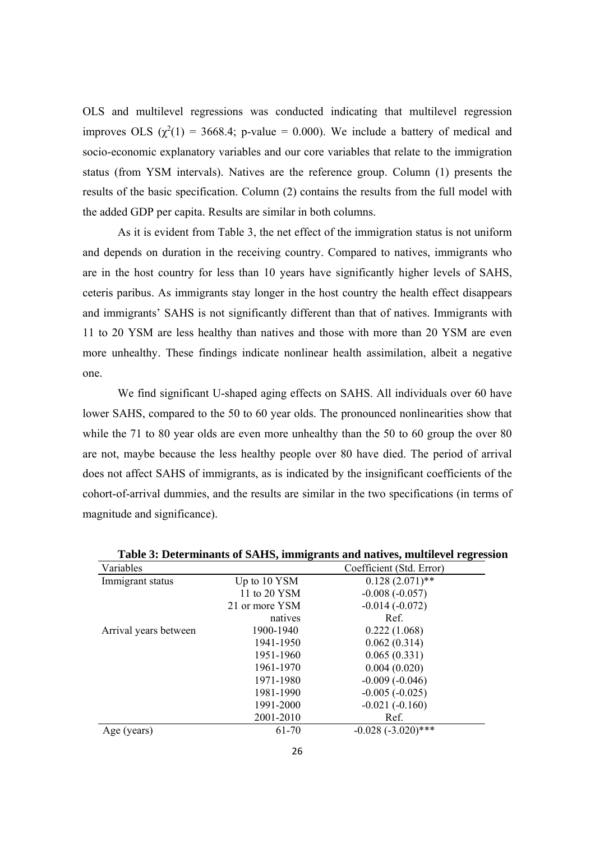OLS and multilevel regressions was conducted indicating that multilevel regression improves OLS  $(\chi^2(1) = 3668.4; \text{ p-value} = 0.000)$ . We include a battery of medical and socio-economic explanatory variables and our core variables that relate to the immigration status (from YSM intervals). Natives are the reference group. Column (1) presents the results of the basic specification. Column (2) contains the results from the full model with the added GDP per capita. Results are similar in both columns.

As it is evident from Table 3, the net effect of the immigration status is not uniform and depends on duration in the receiving country. Compared to natives, immigrants who are in the host country for less than 10 years have significantly higher levels of SAHS, ceteris paribus. As immigrants stay longer in the host country the health effect disappears and immigrants' SAHS is not significantly different than that of natives. Immigrants with 11 to 20 YSM are less healthy than natives and those with more than 20 YSM are even more unhealthy. These findings indicate nonlinear health assimilation, albeit a negative one.

We find significant U-shaped aging effects on SAHS. All individuals over 60 have lower SAHS, compared to the 50 to 60 year olds. The pronounced nonlinearities show that while the 71 to 80 year olds are even more unhealthy than the 50 to 60 group the over 80 are not, maybe because the less healthy people over 80 have died. The period of arrival does not affect SAHS of immigrants, as is indicated by the insignificant coefficients of the cohort-of-arrival dummies, and the results are similar in the two specifications (in terms of magnitude and significance).

| Variables             |                | Coefficient (Std. Error) |
|-----------------------|----------------|--------------------------|
| Immigrant status      | Up to 10 YSM   | $0.128(2.071)$ **        |
|                       | 11 to 20 YSM   | $-0.008(-0.057)$         |
|                       | 21 or more YSM | $-0.014(-0.072)$         |
|                       | natives        | Ref.                     |
| Arrival years between | 1900-1940      | 0.222(1.068)             |
|                       | 1941-1950      | 0.062(0.314)             |
|                       | 1951-1960      | 0.065(0.331)             |
|                       | 1961-1970      | 0.004(0.020)             |
|                       | 1971-1980      | $-0.009(-0.046)$         |
|                       | 1981-1990      | $-0.005(-0.025)$         |
|                       | 1991-2000      | $-0.021(-0.160)$         |
|                       | 2001-2010      | Ref.                     |
| Age (years)           | 61-70          | $-0.028 (-3.020)$ ***    |
|                       |                |                          |

**Table 3: Determinants of SAHS, immigrants and natives, multilevel regression**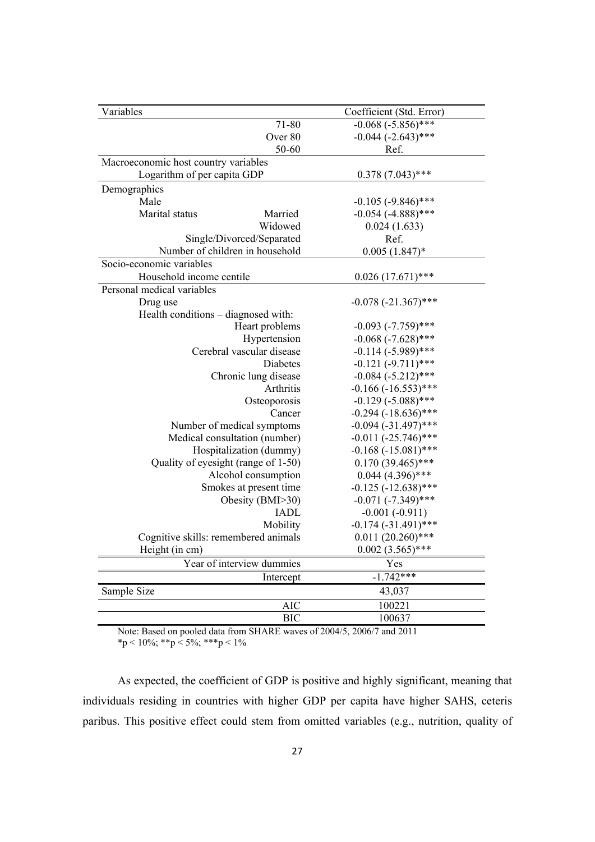| Variables                            | Coefficient (Std. Error) |
|--------------------------------------|--------------------------|
| $71 - 80$                            | $-0.068 (-5.856)$ ***    |
| Over 80                              | $-0.044$ $(-2.643)$ ***  |
| 50-60                                | Ref.                     |
| Macroeconomic host country variables |                          |
| Logarithm of per capita GDP          | $0.378(7.043)$ ***       |
| Demographics                         |                          |
| Male                                 | $-0.105$ $(-9.846)$ ***  |
| Marital status<br>Married            | $-0.054$ $(-4.888)$ ***  |
| Widowed                              | 0.024(1.633)             |
| Single/Divorced/Separated            | Ref.                     |
| Number of children in household      | $0.005(1.847)^*$         |
| Socio-economic variables             |                          |
| Household income centile             | $0.026(17.671)$ ***      |
| Personal medical variables           |                          |
| Drug use                             | $-0.078$ $(-21.367)$ *** |
| Health conditions – diagnosed with:  |                          |
| Heart problems                       | $-0.093$ $(-7.759)$ ***  |
| Hypertension                         | $-0.068$ $(-7.628)$ ***  |
| Cerebral vascular disease            | $-0.114 (-5.989)$ ***    |
| Diabetes                             | $-0.121 (-9.711)$ ***    |
| Chronic lung disease                 | $-0.084$ $(-5.212)$ ***  |
| Arthritis                            | $-0.166$ $(-16.553)$ *** |
| Osteoporosis                         | $-0.129$ $(-5.088)$ ***  |
| Cancer                               | $-0.294 (-18.636)$ ***   |
| Number of medical symptoms           | $-0.094$ $(-31.497)$ *** |
| Medical consultation (number)        | $-0.011 (-25.746)$ ***   |
| Hospitalization (dummy)              | $-0.168 (-15.081)$ ***   |
| Quality of eyesight (range of 1-50)  | $0.170(39.465)$ ***      |
| Alcohol consumption                  | $0.044$ (4.396)***       |
| Smokes at present time               | $-0.125$ $(-12.638)$ *** |
| Obesity (BMI>30)                     | $-0.071$ $(-7.349)$ ***  |
| <b>IADL</b>                          | $-0.001(-0.911)$         |
| Mobility                             | $-0.174$ $(-31.491)$ *** |
| Cognitive skills: remembered animals | $0.011(20.260)$ ***      |
| Height (in cm)                       | $0.002(3.565)$ ***       |
| Year of interview dummies            | Yes                      |
| Intercept                            | $-1.742***$              |
| Sample Size                          | 43,037                   |
| <b>AIC</b>                           | 100221                   |
| <b>BIC</b>                           | 100637                   |

Note: Based on pooled data from SHARE waves of 2004/5, 2006/7 and 2011  $*$ p < 10%;  $*$  $*$ p < 5%;  $*$  $*$  $*$ p < 1%

As expected, the coefficient of GDP is positive and highly significant, meaning that individuals residing in countries with higher GDP per capita have higher SAHS, ceteris paribus. This positive effect could stem from omitted variables (e.g., nutrition, quality of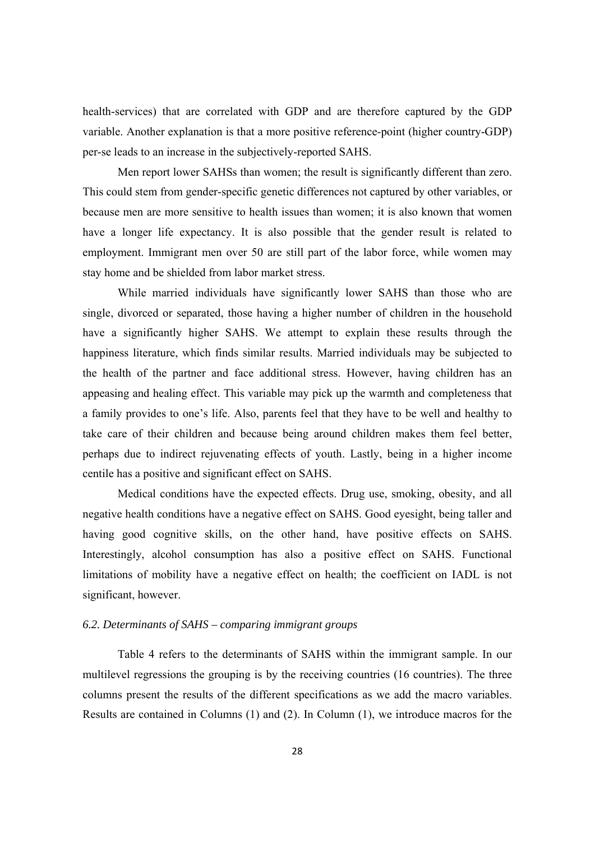health-services) that are correlated with GDP and are therefore captured by the GDP variable. Another explanation is that a more positive reference-point (higher country-GDP) per-se leads to an increase in the subjectively-reported SAHS.

Men report lower SAHSs than women; the result is significantly different than zero. This could stem from gender-specific genetic differences not captured by other variables, or because men are more sensitive to health issues than women; it is also known that women have a longer life expectancy. It is also possible that the gender result is related to employment. Immigrant men over 50 are still part of the labor force, while women may stay home and be shielded from labor market stress.

While married individuals have significantly lower SAHS than those who are single, divorced or separated, those having a higher number of children in the household have a significantly higher SAHS. We attempt to explain these results through the happiness literature, which finds similar results. Married individuals may be subjected to the health of the partner and face additional stress. However, having children has an appeasing and healing effect. This variable may pick up the warmth and completeness that a family provides to one's life. Also, parents feel that they have to be well and healthy to take care of their children and because being around children makes them feel better, perhaps due to indirect rejuvenating effects of youth. Lastly, being in a higher income centile has a positive and significant effect on SAHS.

Medical conditions have the expected effects. Drug use, smoking, obesity, and all negative health conditions have a negative effect on SAHS. Good eyesight, being taller and having good cognitive skills, on the other hand, have positive effects on SAHS. Interestingly, alcohol consumption has also a positive effect on SAHS. Functional limitations of mobility have a negative effect on health; the coefficient on IADL is not significant, however.

#### *6.2. Determinants of SAHS – comparing immigrant groups*

Table 4 refers to the determinants of SAHS within the immigrant sample. In our multilevel regressions the grouping is by the receiving countries (16 countries). The three columns present the results of the different specifications as we add the macro variables. Results are contained in Columns (1) and (2). In Column (1), we introduce macros for the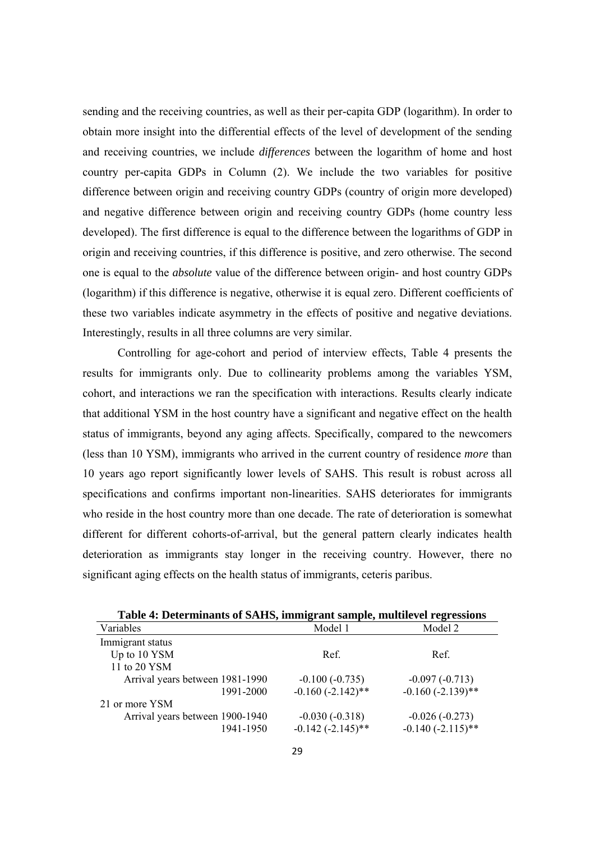sending and the receiving countries, as well as their per-capita GDP (logarithm). In order to obtain more insight into the differential effects of the level of development of the sending and receiving countries, we include *differences* between the logarithm of home and host country per-capita GDPs in Column (2). We include the two variables for positive difference between origin and receiving country GDPs (country of origin more developed) and negative difference between origin and receiving country GDPs (home country less developed). The first difference is equal to the difference between the logarithms of GDP in origin and receiving countries, if this difference is positive, and zero otherwise. The second one is equal to the *absolute* value of the difference between origin- and host country GDPs (logarithm) if this difference is negative, otherwise it is equal zero. Different coefficients of these two variables indicate asymmetry in the effects of positive and negative deviations. Interestingly, results in all three columns are very similar.

Controlling for age-cohort and period of interview effects, Table 4 presents the results for immigrants only. Due to collinearity problems among the variables YSM, cohort, and interactions we ran the specification with interactions. Results clearly indicate that additional YSM in the host country have a significant and negative effect on the health status of immigrants, beyond any aging affects. Specifically, compared to the newcomers (less than 10 YSM), immigrants who arrived in the current country of residence *more* than 10 years ago report significantly lower levels of SAHS. This result is robust across all specifications and confirms important non-linearities. SAHS deteriorates for immigrants who reside in the host country more than one decade. The rate of deterioration is somewhat different for different cohorts-of-arrival, but the general pattern clearly indicates health deterioration as immigrants stay longer in the receiving country. However, there no significant aging effects on the health status of immigrants, ceteris paribus.

| Variables                       | Model 1              | Model 2             |
|---------------------------------|----------------------|---------------------|
| Immigrant status                |                      |                     |
| Up to 10 YSM                    | Ref.                 | Ref.                |
| 11 to 20 YSM                    |                      |                     |
| Arrival years between 1981-1990 | $-0.100(-0.735)$     | $-0.097(-0.713)$    |
| 1991-2000                       | $-0.160(-2.142)$ **  | $-0.160(-2.139)$ ** |
| 21 or more YSM                  |                      |                     |
| Arrival years between 1900-1940 | $-0.030(-0.318)$     | $-0.026(-0.273)$    |
| 1941-1950                       | $-0.142 (-2.145)$ ** | $-0.140(-2.115)$ ** |

**Table 4: Determinants of SAHS, immigrant sample, multilevel regressions**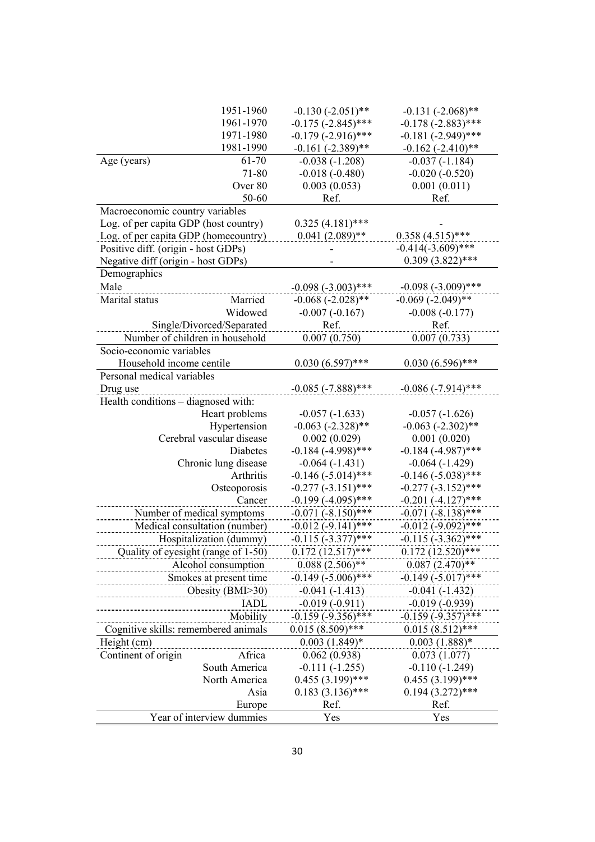|                                       | 1951-1960                           | $-0.130(-2.051)$ **     | $-0.131 (-2.068)$ **             |
|---------------------------------------|-------------------------------------|-------------------------|----------------------------------|
|                                       | 1961-1970                           | $-0.175$ $(-2.845)$ *** | $-0.178 (-2.883)$ ***            |
|                                       | 1971-1980                           | $-0.179(-2.916)$ ***    | $-0.181 (-2.949)$ ***            |
|                                       | 1981-1990                           | $-0.161(-2.389)$ **     | $-0.162$ $(-2.410)$ **           |
| Age (years)                           | 61-70                               | $-0.038(-1.208)$        | $-0.037(-1.184)$                 |
|                                       | 71-80                               | $-0.018(-0.480)$        | $-0.020(-0.520)$                 |
|                                       | Over 80                             | 0.003(0.053)            | 0.001(0.011)                     |
|                                       | 50-60                               | Ref.                    | Ref.                             |
| Macroeconomic country variables       |                                     |                         |                                  |
| Log. of per capita GDP (host country) |                                     | $0.325(4.181)$ ***      |                                  |
| Log. of per capita GDP (homecountry)  |                                     | $0.041(2.089)$ **       | $0.358(4.515)$ ***               |
| Positive diff. (origin - host GDPs)   |                                     |                         | $-0.414(-3.609)$ ***             |
| Negative diff (origin - host GDPs)    |                                     |                         | $0.309(3.822)$ ***               |
| Demographics                          |                                     |                         |                                  |
| Male                                  |                                     | $-0.098 (-3.003)$ ***   | $-0.098 (-3.009)$ ***            |
| Marital status                        | Married                             | $-0.068 (-2.028)$ **    | $-0.069$ $(-2.049)$ **           |
|                                       | Widowed                             | $-0.007(-0.167)$        | $-0.008(-0.177)$                 |
|                                       | Single/Divorced/Separated           | Ref.                    | Ref.                             |
|                                       | Number of children in household     | 0.007(0.750)            | 0.007(0.733)                     |
| Socio-economic variables              |                                     |                         |                                  |
| Household income centile              |                                     | $0.030(6.597)$ ***      | $0.030(6.596)$ ***               |
| Personal medical variables            |                                     |                         |                                  |
| Drug use                              |                                     | $-0.085 (-7.888)$ ***   | $-0.086(-7.914)$ ***             |
| Health conditions - diagnosed with:   |                                     |                         |                                  |
|                                       | Heart problems                      | $-0.057(-1.633)$        | $-0.057(-1.626)$                 |
|                                       | Hypertension                        | $-0.063$ $(-2.328)$ **  | $-0.063$ $(-2.302)$ **           |
|                                       | Cerebral vascular disease           | 0.002(0.029)            | 0.001(0.020)                     |
|                                       | Diabetes                            | $-0.184 (-4.998)$ ***   | $-0.184$ $(-4.987)$ ***          |
|                                       | Chronic lung disease                | $-0.064(-1.431)$        | $-0.064(-1.429)$                 |
|                                       | Arthritis                           | $-0.146 (-5.014)$ ***   | $-0.146$ $(-5.038)$ ***          |
|                                       | Osteoporosis                        | $-0.277$ $(-3.151)$ *** | $-0.277$ $(-3.152)$ ***          |
|                                       | Cancer                              | $-0.199(-4.095)$ ***    | $-0.201 (-4.127)$ ***            |
|                                       | Number of medical symptoms          | $-0.071$ $(-8.150)$ *** | $-0.071$ $(-8.138)$ ***          |
|                                       | Medical consultation (number)       | $-0.012$ $(-9.141)$ *** | $-0.012$ $(-9.092)$ ***          |
|                                       | Hospitalization (dummy)             | $-0.115(-3.377)$ ***    | $-0.115 (-3.362)$ ***            |
|                                       | Quality of eyesight (range of 1-50) | $0.172(12.517)$ ***     | $0.172(12.520)$ ***              |
|                                       | Alcohol consumption                 | $0.088(2.506)$ **       | $0.087(2.470)$ **                |
|                                       | Smokes at present time              | $-0.149(-5.006)$ ***    | $-0.149 (-5.017)$ ***            |
|                                       | Obesity (BMI>30)                    | $-0.041(-1.413)$        | $-0.041(-1.432)$                 |
|                                       | <b>IADL</b>                         | $-0.019(-0.911)$        | $-0.019(-0.939)$                 |
|                                       | Mobility                            | $-0.159(-9.356)$ ***    | $-0.159(-9.357)$ ***             |
| Cognitive skills: remembered animals  |                                     | $0.015(8.509)$ ***      | $0.015(8.512)$ ***               |
| Height (cm)                           |                                     | $0.003(1.849)*$         | $0.003(1.888)*$                  |
| Continent of origin                   | Africa                              | 0.062(0.938)            |                                  |
|                                       | South America                       | $-0.111(-1.255)$        | 0.073(1.077)<br>$-0.110(-1.249)$ |
|                                       | North America                       | $0.455(3.199)$ ***      | $0.455(3.199)$ ***               |
|                                       | Asia                                | $0.183(3.136)$ ***      | $0.194(3.272)$ ***               |
|                                       | Europe                              | Ref.                    | Ref.                             |
|                                       | Year of interview dummies           | Yes                     | Yes                              |
|                                       |                                     |                         |                                  |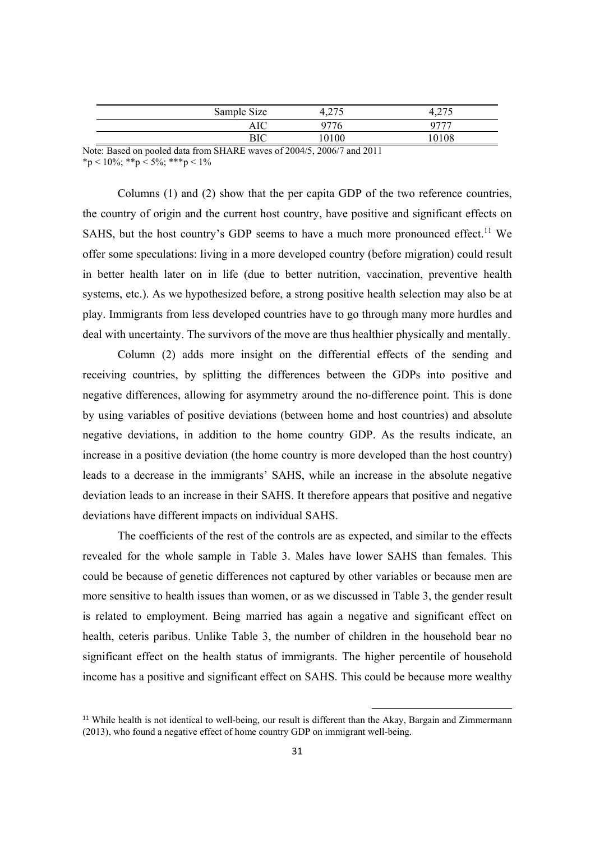| Sample Size | 275<br>T.∠ / J | ∪ ו∠.ד |  |
|-------------|----------------|--------|--|
| AIC         | ነገግሬ           | ・ワワワ   |  |
| D™          | 0100           |        |  |

Note: Based on pooled data from SHARE waves of 2004/5, 2006/7 and 2011 \*p < 10%; \*\*p < 5%; \*\*\*p < 1%

Columns (1) and (2) show that the per capita GDP of the two reference countries, the country of origin and the current host country, have positive and significant effects on SAHS, but the host country's GDP seems to have a much more pronounced effect.<sup>11</sup> We offer some speculations: living in a more developed country (before migration) could result in better health later on in life (due to better nutrition, vaccination, preventive health systems, etc.). As we hypothesized before, a strong positive health selection may also be at play. Immigrants from less developed countries have to go through many more hurdles and deal with uncertainty. The survivors of the move are thus healthier physically and mentally.

Column (2) adds more insight on the differential effects of the sending and receiving countries, by splitting the differences between the GDPs into positive and negative differences, allowing for asymmetry around the no-difference point. This is done by using variables of positive deviations (between home and host countries) and absolute negative deviations, in addition to the home country GDP. As the results indicate, an increase in a positive deviation (the home country is more developed than the host country) leads to a decrease in the immigrants' SAHS, while an increase in the absolute negative deviation leads to an increase in their SAHS. It therefore appears that positive and negative deviations have different impacts on individual SAHS.

The coefficients of the rest of the controls are as expected, and similar to the effects revealed for the whole sample in Table 3. Males have lower SAHS than females. This could be because of genetic differences not captured by other variables or because men are more sensitive to health issues than women, or as we discussed in Table 3, the gender result is related to employment. Being married has again a negative and significant effect on health, ceteris paribus. Unlike Table 3, the number of children in the household bear no significant effect on the health status of immigrants. The higher percentile of household income has a positive and significant effect on SAHS. This could be because more wealthy

<sup>11</sup> While health is not identical to well-being, our result is different than the Akay, Bargain and Zimmermann (2013), who found a negative effect of home country GDP on immigrant well-being.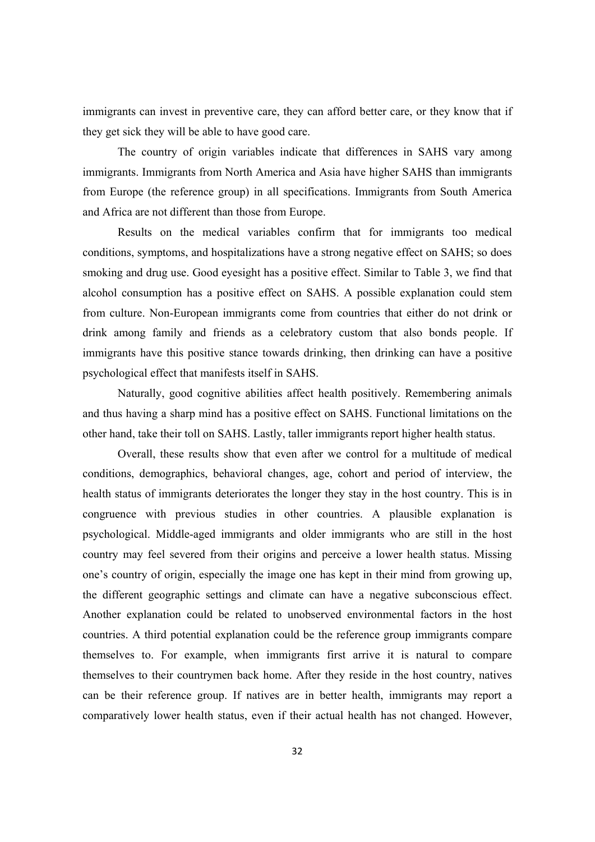immigrants can invest in preventive care, they can afford better care, or they know that if they get sick they will be able to have good care.

The country of origin variables indicate that differences in SAHS vary among immigrants. Immigrants from North America and Asia have higher SAHS than immigrants from Europe (the reference group) in all specifications. Immigrants from South America and Africa are not different than those from Europe.

Results on the medical variables confirm that for immigrants too medical conditions, symptoms, and hospitalizations have a strong negative effect on SAHS; so does smoking and drug use. Good eyesight has a positive effect. Similar to Table 3, we find that alcohol consumption has a positive effect on SAHS. A possible explanation could stem from culture. Non-European immigrants come from countries that either do not drink or drink among family and friends as a celebratory custom that also bonds people. If immigrants have this positive stance towards drinking, then drinking can have a positive psychological effect that manifests itself in SAHS.

Naturally, good cognitive abilities affect health positively. Remembering animals and thus having a sharp mind has a positive effect on SAHS. Functional limitations on the other hand, take their toll on SAHS. Lastly, taller immigrants report higher health status.

 Overall, these results show that even after we control for a multitude of medical conditions, demographics, behavioral changes, age, cohort and period of interview, the health status of immigrants deteriorates the longer they stay in the host country. This is in congruence with previous studies in other countries. A plausible explanation is psychological. Middle-aged immigrants and older immigrants who are still in the host country may feel severed from their origins and perceive a lower health status. Missing one's country of origin, especially the image one has kept in their mind from growing up, the different geographic settings and climate can have a negative subconscious effect. Another explanation could be related to unobserved environmental factors in the host countries. A third potential explanation could be the reference group immigrants compare themselves to. For example, when immigrants first arrive it is natural to compare themselves to their countrymen back home. After they reside in the host country, natives can be their reference group. If natives are in better health, immigrants may report a comparatively lower health status, even if their actual health has not changed. However,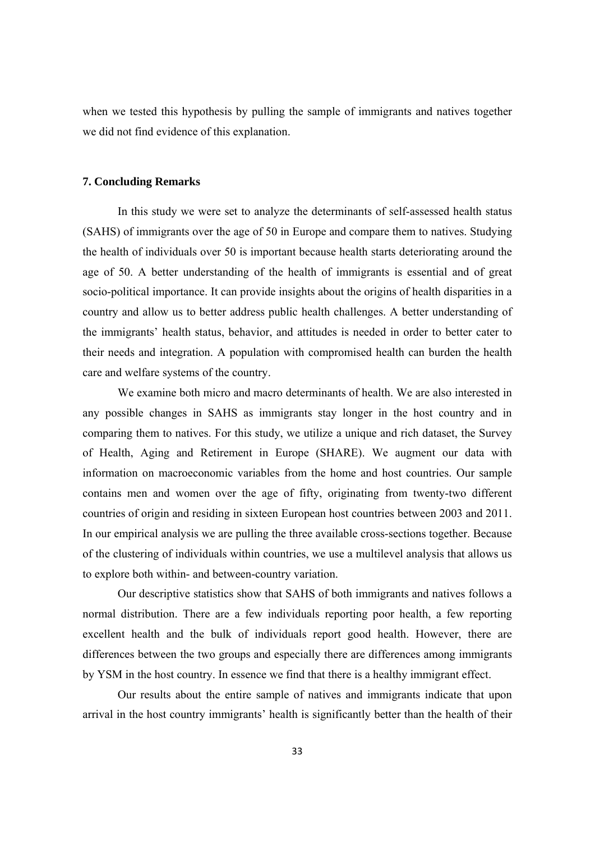when we tested this hypothesis by pulling the sample of immigrants and natives together we did not find evidence of this explanation.

#### **7. Concluding Remarks**

In this study we were set to analyze the determinants of self-assessed health status (SAHS) of immigrants over the age of 50 in Europe and compare them to natives. Studying the health of individuals over 50 is important because health starts deteriorating around the age of 50. A better understanding of the health of immigrants is essential and of great socio-political importance. It can provide insights about the origins of health disparities in a country and allow us to better address public health challenges. A better understanding of the immigrants' health status, behavior, and attitudes is needed in order to better cater to their needs and integration. A population with compromised health can burden the health care and welfare systems of the country.

We examine both micro and macro determinants of health. We are also interested in any possible changes in SAHS as immigrants stay longer in the host country and in comparing them to natives. For this study, we utilize a unique and rich dataset, the Survey of Health, Aging and Retirement in Europe (SHARE). We augment our data with information on macroeconomic variables from the home and host countries. Our sample contains men and women over the age of fifty, originating from twenty-two different countries of origin and residing in sixteen European host countries between 2003 and 2011. In our empirical analysis we are pulling the three available cross-sections together. Because of the clustering of individuals within countries, we use a multilevel analysis that allows us to explore both within- and between-country variation.

Our descriptive statistics show that SAHS of both immigrants and natives follows a normal distribution. There are a few individuals reporting poor health, a few reporting excellent health and the bulk of individuals report good health. However, there are differences between the two groups and especially there are differences among immigrants by YSM in the host country. In essence we find that there is a healthy immigrant effect.

Our results about the entire sample of natives and immigrants indicate that upon arrival in the host country immigrants' health is significantly better than the health of their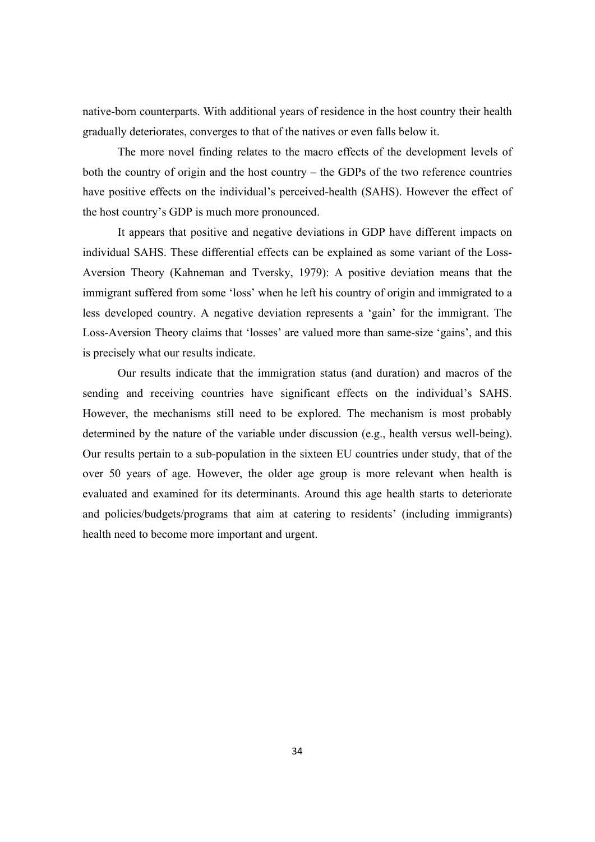native-born counterparts. With additional years of residence in the host country their health gradually deteriorates, converges to that of the natives or even falls below it.

The more novel finding relates to the macro effects of the development levels of both the country of origin and the host country – the GDPs of the two reference countries have positive effects on the individual's perceived-health (SAHS). However the effect of the host country's GDP is much more pronounced.

It appears that positive and negative deviations in GDP have different impacts on individual SAHS. These differential effects can be explained as some variant of the Loss-Aversion Theory (Kahneman and Tversky, 1979): A positive deviation means that the immigrant suffered from some 'loss' when he left his country of origin and immigrated to a less developed country. A negative deviation represents a 'gain' for the immigrant. The Loss-Aversion Theory claims that 'losses' are valued more than same-size 'gains', and this is precisely what our results indicate.

Our results indicate that the immigration status (and duration) and macros of the sending and receiving countries have significant effects on the individual's SAHS. However, the mechanisms still need to be explored. The mechanism is most probably determined by the nature of the variable under discussion (e.g., health versus well-being). Our results pertain to a sub-population in the sixteen EU countries under study, that of the over 50 years of age. However, the older age group is more relevant when health is evaluated and examined for its determinants. Around this age health starts to deteriorate and policies/budgets/programs that aim at catering to residents' (including immigrants) health need to become more important and urgent.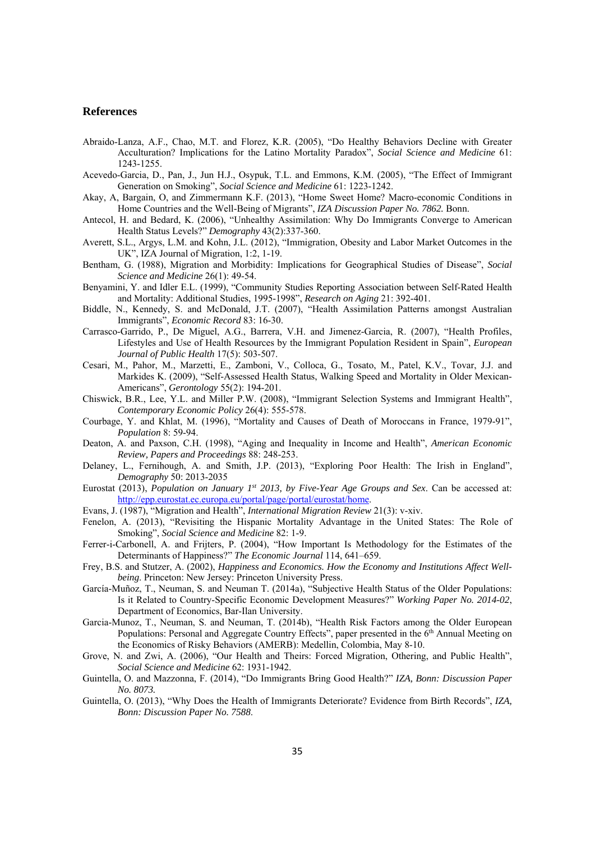#### **References**

- Abraido-Lanza, A.F., Chao, M.T. and Florez, K.R. (2005), "Do Healthy Behaviors Decline with Greater Acculturation? Implications for the Latino Mortality Paradox", *Social Science and Medicine* 61: 1243-1255.
- Acevedo-Garcia, D., Pan, J., Jun H.J., Osypuk, T.L. and Emmons, K.M. (2005), "The Effect of Immigrant Generation on Smoking", *Social Science and Medicine* 61: 1223-1242.
- Akay, A, Bargain, O, and Zimmermann K.F. (2013), "Home Sweet Home? Macro-economic Conditions in Home Countries and the Well-Being of Migrants", *IZA Discussion Paper No. 7862.* Bonn.
- Antecol, H. and Bedard, K. (2006), "Unhealthy Assimilation: Why Do Immigrants Converge to American Health Status Levels?" *Demography* 43(2):337-360.
- Averett, S.L., Argys, L.M. and Kohn, J.L. (2012), "Immigration, Obesity and Labor Market Outcomes in the UK", IZA Journal of Migration, 1:2, 1-19.
- Bentham, G. (1988), Migration and Morbidity: Implications for Geographical Studies of Disease", *Social Science and Medicine* 26(1): 49-54.
- Benyamini, Y. and Idler E.L. (1999), "Community Studies Reporting Association between Self-Rated Health and Mortality: Additional Studies, 1995-1998", *Research on Aging* 21: 392-401.
- Biddle, N., Kennedy, S. and McDonald, J.T. (2007), "Health Assimilation Patterns amongst Australian Immigrants", *Economic Record* 83: 16-30.
- Carrasco-Garrido, P., De Miguel, A.G., Barrera, V.H. and Jimenez-Garcia, R. (2007), "Health Profiles, Lifestyles and Use of Health Resources by the Immigrant Population Resident in Spain", *European Journal of Public Health* 17(5): 503-507.
- Cesari, M., Pahor, M., Marzetti, E., Zamboni, V., Colloca, G., Tosato, M., Patel, K.V., Tovar, J.J. and Markides K. (2009), "Self-Assessed Health Status, Walking Speed and Mortality in Older Mexican-Americans", *Gerontology* 55(2): 194-201.
- Chiswick, B.R., Lee, Y.L. and Miller P.W. (2008), "Immigrant Selection Systems and Immigrant Health", *Contemporary Economic Policy* 26(4): 555-578.
- Courbage, Y. and Khlat, M. (1996), "Mortality and Causes of Death of Moroccans in France, 1979-91", *Population* 8: 59-94.
- Deaton, A. and Paxson, C.H. (1998), "Aging and Inequality in Income and Health", *American Economic Review, Papers and Proceedings* 88: 248-253.
- Delaney, L., Fernihough, A. and Smith, J.P. (2013), "Exploring Poor Health: The Irish in England", *Demography* 50: 2013-2035
- Eurostat (2013), *Population on January 1st 2013, by Five-Year Age Groups and Sex*. Can be accessed at: http://epp.eurostat.ec.europa.eu/portal/page/portal/eurostat/home.
- Evans, J. (1987), "Migration and Health", *International Migration Review* 21(3): v-xiv.
- Fenelon, A. (2013), "Revisiting the Hispanic Mortality Advantage in the United States: The Role of Smoking", *Social Science and Medicine* 82: 1-9.
- Ferrer-i-Carbonell, A. and Frijters, P. (2004), "How Important Is Methodology for the Estimates of the Determinants of Happiness?" *The Economic Journal* 114, 641–659.
- Frey, B.S. and Stutzer, A. (2002), *Happiness and Economics. How the Economy and Institutions Affect Wellbeing*. Princeton: New Jersey: Princeton University Press.
- García-Muñoz, T., Neuman, S. and Neuman T. (2014a), "Subjective Health Status of the Older Populations: Is it Related to Country-Specific Economic Development Measures?" *Working Paper No. 2014-02*, Department of Economics, Bar-Ilan University.
- Garcia-Munoz, T., Neuman, S. and Neuman, T. (2014b), "Health Risk Factors among the Older European Populations: Personal and Aggregate Country Effects", paper presented in the 6<sup>th</sup> Annual Meeting on the Economics of Risky Behaviors (AMERB): Medellin, Colombia, May 8-10.
- Grove, N. and Zwi, A. (2006), "Our Health and Theirs: Forced Migration, Othering, and Public Health", *Social Science and Medicine* 62: 1931-1942.
- Guintella, O. and Mazzonna, F. (2014), "Do Immigrants Bring Good Health?" *IZA, Bonn: Discussion Paper No. 8073.*
- Guintella, O. (2013), "Why Does the Health of Immigrants Deteriorate? Evidence from Birth Records", *IZA, Bonn: Discussion Paper No. 7588*.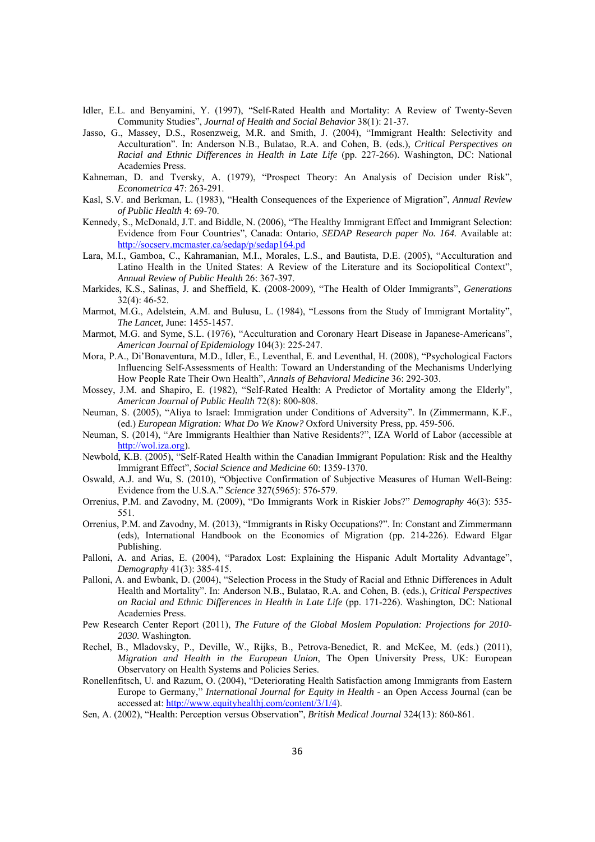- Idler, E.L. and Benyamini, Y. (1997), "Self-Rated Health and Mortality: A Review of Twenty-Seven Community Studies", *Journal of Health and Social Behavior* 38(1): 21-37.
- Jasso, G., Massey, D.S., Rosenzweig, M.R. and Smith, J. (2004), "Immigrant Health: Selectivity and Acculturation". In: Anderson N.B., Bulatao, R.A. and Cohen, B. (eds.), *Critical Perspectives on Racial and Ethnic Differences in Health in Late Life* (pp. 227-266). Washington, DC: National Academies Press.
- Kahneman, D. and Tversky, A. (1979), "Prospect Theory: An Analysis of Decision under Risk", *Econometrica* 47: 263-291.
- Kasl, S.V. and Berkman, L. (1983), "Health Consequences of the Experience of Migration", *Annual Review of Public Health* 4: 69-70.
- Kennedy, S., McDonald, J.T. and Biddle, N. (2006), "The Healthy Immigrant Effect and Immigrant Selection: Evidence from Four Countries", Canada: Ontario, *SEDAP Research paper No. 164.* Available at: http://socserv.mcmaster.ca/sedap/p/sedap164.pd
- Lara, M.I., Gamboa, C., Kahramanian, M.I., Morales, L.S., and Bautista, D.E. (2005), "Acculturation and Latino Health in the United States: A Review of the Literature and its Sociopolitical Context", *Annual Review of Public Health* 26: 367-397.
- Markides, K.S., Salinas, J. and Sheffield, K. (2008-2009), "The Health of Older Immigrants", *Generations* 32(4): 46-52.
- Marmot, M.G., Adelstein, A.M. and Bulusu, L. (1984), "Lessons from the Study of Immigrant Mortality", *The Lancet,* June: 1455-1457.
- Marmot, M.G. and Syme, S.L. (1976), "Acculturation and Coronary Heart Disease in Japanese-Americans", *American Journal of Epidemiology* 104(3): 225-247.
- Mora, P.A., Di'Bonaventura, M.D., Idler, E., Leventhal, E. and Leventhal, H. (2008), "Psychological Factors Influencing Self-Assessments of Health: Toward an Understanding of the Mechanisms Underlying How People Rate Their Own Health", *Annals of Behavioral Medicine* 36: 292-303.
- Mossey, J.M. and Shapiro, E. (1982), "Self-Rated Health: A Predictor of Mortality among the Elderly", *American Journal of Public Health* 72(8): 800-808.
- Neuman, S. (2005), "Aliya to Israel: Immigration under Conditions of Adversity". In (Zimmermann, K.F., (ed.) *European Migration: What Do We Know?* Oxford University Press, pp. 459-506.
- Neuman, S. (2014), "Are Immigrants Healthier than Native Residents?", IZA World of Labor (accessible at http://wol.iza.org).
- Newbold, K.B. (2005), "Self-Rated Health within the Canadian Immigrant Population: Risk and the Healthy Immigrant Effect", *Social Science and Medicine* 60: 1359-1370.
- Oswald, A.J. and Wu, S. (2010), "Objective Confirmation of Subjective Measures of Human Well-Being: Evidence from the U.S.A." *Science* 327(5965): 576-579.
- Orrenius, P.M. and Zavodny, M. (2009), "Do Immigrants Work in Riskier Jobs?" *Demography* 46(3): 535- 551.
- Orrenius, P.M. and Zavodny, M. (2013), "Immigrants in Risky Occupations?". In: Constant and Zimmermann (eds), International Handbook on the Economics of Migration (pp. 214-226). Edward Elgar Publishing.
- Palloni, A. and Arias, E. (2004), "Paradox Lost: Explaining the Hispanic Adult Mortality Advantage", *Demography* 41(3): 385-415.
- Palloni, A. and Ewbank, D. (2004), "Selection Process in the Study of Racial and Ethnic Differences in Adult Health and Mortality". In: Anderson N.B., Bulatao, R.A. and Cohen, B. (eds.), *Critical Perspectives on Racial and Ethnic Differences in Health in Late Life* (pp. 171-226). Washington, DC: National Academies Press.
- Pew Research Center Report (2011), *The Future of the Global Moslem Population: Projections for 2010- 2030*. Washington.
- Rechel, B., Mladovsky, P., Deville, W., Rijks, B., Petrova-Benedict, R. and McKee, M. (eds.) (2011), *Migration and Health in the European Union*, The Open University Press, UK: European Observatory on Health Systems and Policies Series.
- Ronellenfitsch, U. and Razum, O. (2004), "Deteriorating Health Satisfaction among Immigrants from Eastern Europe to Germany," *International Journal for Equity in Health* - an Open Access Journal (can be accessed at: http://www.equityhealthj.com/content/3/1/4).
- Sen, A. (2002), "Health: Perception versus Observation", *British Medical Journal* 324(13): 860-861.